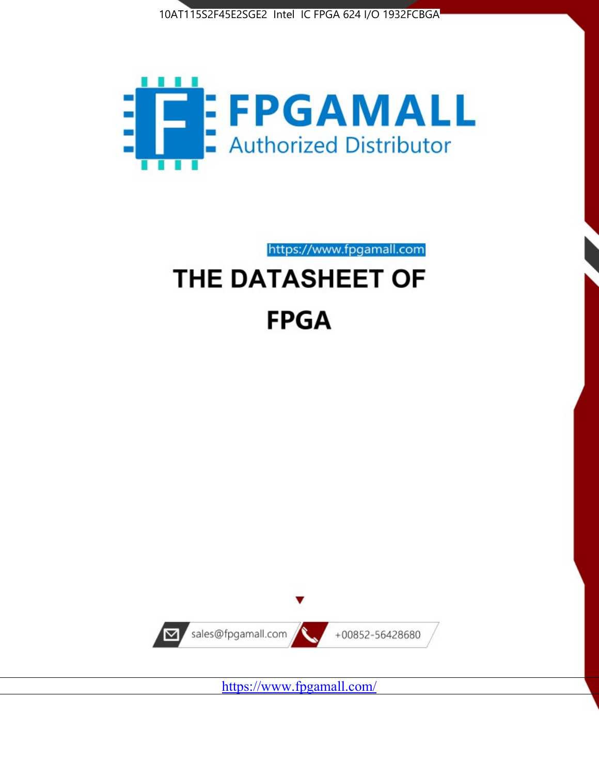



https://www.fpgamall.com

# THE DATASHEET OF **FPGA**



<https://www.fpgamall.com/>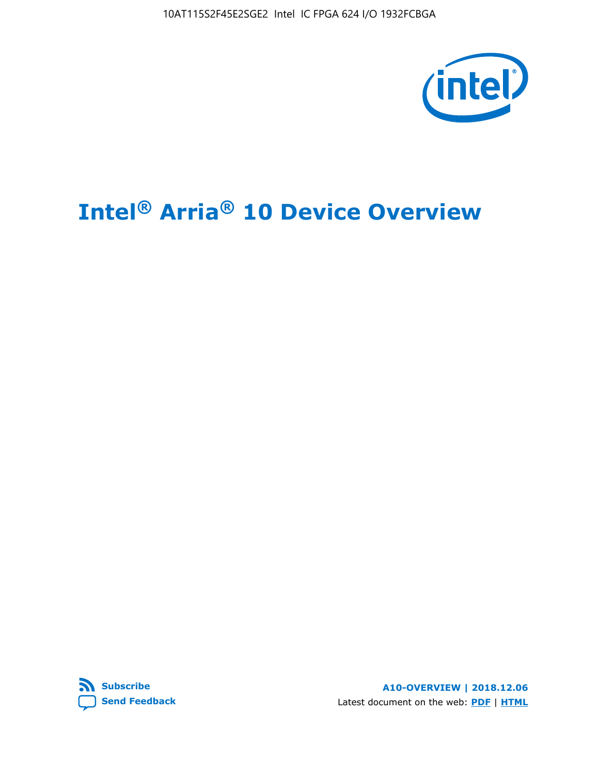10AT115S2F45E2SGE2 Intel IC FPGA 624 I/O 1932FCBGA



# **Intel® Arria® 10 Device Overview**



**A10-OVERVIEW | 2018.12.06** Latest document on the web: **[PDF](https://www.intel.com/content/dam/www/programmable/us/en/pdfs/literature/hb/arria-10/a10_overview.pdf)** | **[HTML](https://www.intel.com/content/www/us/en/programmable/documentation/sam1403480274650.html)**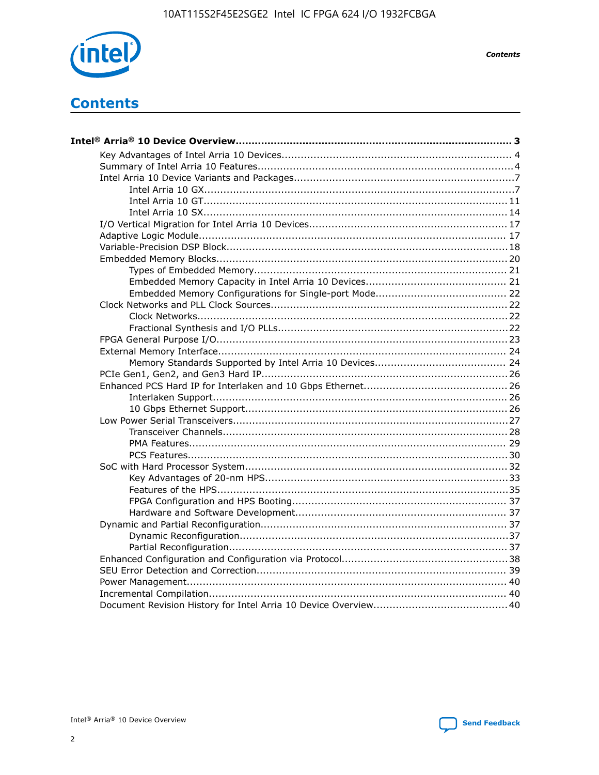

**Contents** 

# **Contents**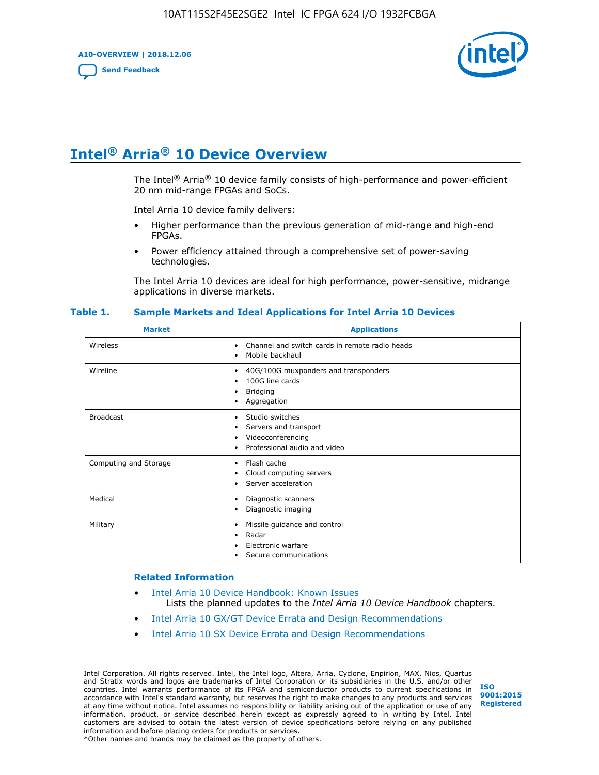**A10-OVERVIEW | 2018.12.06**

**[Send Feedback](mailto:FPGAtechdocfeedback@intel.com?subject=Feedback%20on%20Intel%20Arria%2010%20Device%20Overview%20(A10-OVERVIEW%202018.12.06)&body=We%20appreciate%20your%20feedback.%20In%20your%20comments,%20also%20specify%20the%20page%20number%20or%20paragraph.%20Thank%20you.)**



# **Intel® Arria® 10 Device Overview**

The Intel<sup>®</sup> Arria<sup>®</sup> 10 device family consists of high-performance and power-efficient 20 nm mid-range FPGAs and SoCs.

Intel Arria 10 device family delivers:

- Higher performance than the previous generation of mid-range and high-end FPGAs.
- Power efficiency attained through a comprehensive set of power-saving technologies.

The Intel Arria 10 devices are ideal for high performance, power-sensitive, midrange applications in diverse markets.

| <b>Market</b>         | <b>Applications</b>                                                                                               |
|-----------------------|-------------------------------------------------------------------------------------------------------------------|
| Wireless              | Channel and switch cards in remote radio heads<br>٠<br>Mobile backhaul<br>٠                                       |
| Wireline              | 40G/100G muxponders and transponders<br>٠<br>100G line cards<br>٠<br><b>Bridging</b><br>٠<br>Aggregation<br>٠     |
| <b>Broadcast</b>      | Studio switches<br>٠<br>Servers and transport<br>٠<br>Videoconferencing<br>٠<br>Professional audio and video<br>٠ |
| Computing and Storage | Flash cache<br>٠<br>Cloud computing servers<br>٠<br>Server acceleration<br>٠                                      |
| Medical               | Diagnostic scanners<br>٠<br>Diagnostic imaging<br>٠                                                               |
| Military              | Missile guidance and control<br>٠<br>Radar<br>٠<br>Electronic warfare<br>٠<br>Secure communications<br>٠          |

#### **Table 1. Sample Markets and Ideal Applications for Intel Arria 10 Devices**

#### **Related Information**

- [Intel Arria 10 Device Handbook: Known Issues](http://www.altera.com/support/kdb/solutions/rd07302013_646.html) Lists the planned updates to the *Intel Arria 10 Device Handbook* chapters.
- [Intel Arria 10 GX/GT Device Errata and Design Recommendations](https://www.intel.com/content/www/us/en/programmable/documentation/agz1493851706374.html#yqz1494433888646)
- [Intel Arria 10 SX Device Errata and Design Recommendations](https://www.intel.com/content/www/us/en/programmable/documentation/cru1462832385668.html#cru1462832558642)

Intel Corporation. All rights reserved. Intel, the Intel logo, Altera, Arria, Cyclone, Enpirion, MAX, Nios, Quartus and Stratix words and logos are trademarks of Intel Corporation or its subsidiaries in the U.S. and/or other countries. Intel warrants performance of its FPGA and semiconductor products to current specifications in accordance with Intel's standard warranty, but reserves the right to make changes to any products and services at any time without notice. Intel assumes no responsibility or liability arising out of the application or use of any information, product, or service described herein except as expressly agreed to in writing by Intel. Intel customers are advised to obtain the latest version of device specifications before relying on any published information and before placing orders for products or services. \*Other names and brands may be claimed as the property of others.

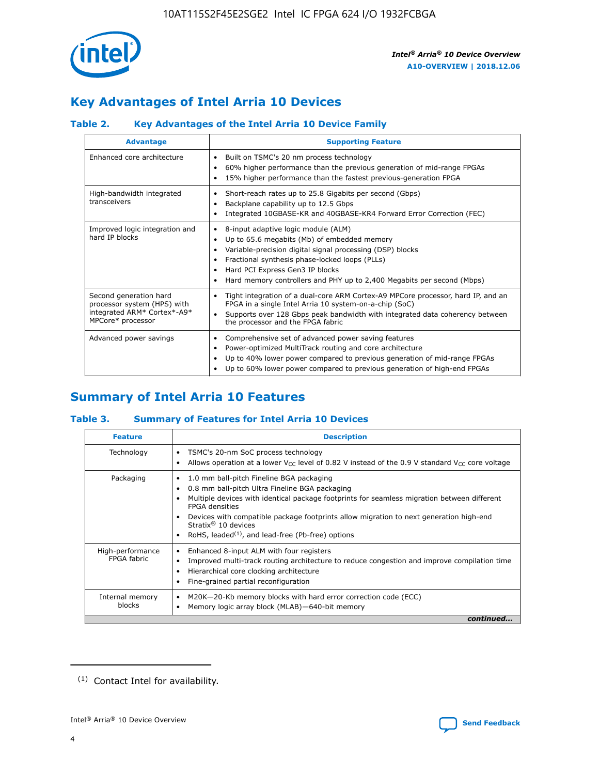

# **Key Advantages of Intel Arria 10 Devices**

# **Table 2. Key Advantages of the Intel Arria 10 Device Family**

| <b>Advantage</b>                                                                                          | <b>Supporting Feature</b>                                                                                                                                                                                                                                                                                                |  |  |  |  |  |  |
|-----------------------------------------------------------------------------------------------------------|--------------------------------------------------------------------------------------------------------------------------------------------------------------------------------------------------------------------------------------------------------------------------------------------------------------------------|--|--|--|--|--|--|
| Enhanced core architecture                                                                                | Built on TSMC's 20 nm process technology<br>٠<br>60% higher performance than the previous generation of mid-range FPGAs<br>٠<br>15% higher performance than the fastest previous-generation FPGA<br>٠                                                                                                                    |  |  |  |  |  |  |
| High-bandwidth integrated<br>transceivers                                                                 | Short-reach rates up to 25.8 Gigabits per second (Gbps)<br>٠<br>Backplane capability up to 12.5 Gbps<br>٠<br>Integrated 10GBASE-KR and 40GBASE-KR4 Forward Error Correction (FEC)<br>٠                                                                                                                                   |  |  |  |  |  |  |
| Improved logic integration and<br>hard IP blocks                                                          | 8-input adaptive logic module (ALM)<br>٠<br>Up to 65.6 megabits (Mb) of embedded memory<br>٠<br>Variable-precision digital signal processing (DSP) blocks<br>Fractional synthesis phase-locked loops (PLLs)<br>Hard PCI Express Gen3 IP blocks<br>Hard memory controllers and PHY up to 2,400 Megabits per second (Mbps) |  |  |  |  |  |  |
| Second generation hard<br>processor system (HPS) with<br>integrated ARM* Cortex*-A9*<br>MPCore* processor | Tight integration of a dual-core ARM Cortex-A9 MPCore processor, hard IP, and an<br>٠<br>FPGA in a single Intel Arria 10 system-on-a-chip (SoC)<br>Supports over 128 Gbps peak bandwidth with integrated data coherency between<br>$\bullet$<br>the processor and the FPGA fabric                                        |  |  |  |  |  |  |
| Advanced power savings                                                                                    | Comprehensive set of advanced power saving features<br>٠<br>Power-optimized MultiTrack routing and core architecture<br>٠<br>Up to 40% lower power compared to previous generation of mid-range FPGAs<br>Up to 60% lower power compared to previous generation of high-end FPGAs                                         |  |  |  |  |  |  |

# **Summary of Intel Arria 10 Features**

## **Table 3. Summary of Features for Intel Arria 10 Devices**

| <b>Feature</b>                  | <b>Description</b>                                                                                                                                                                                                                                                                                                                                                                                 |
|---------------------------------|----------------------------------------------------------------------------------------------------------------------------------------------------------------------------------------------------------------------------------------------------------------------------------------------------------------------------------------------------------------------------------------------------|
| Technology                      | TSMC's 20-nm SoC process technology<br>Allows operation at a lower $V_{\text{CC}}$ level of 0.82 V instead of the 0.9 V standard $V_{\text{CC}}$ core voltage                                                                                                                                                                                                                                      |
| Packaging                       | 1.0 mm ball-pitch Fineline BGA packaging<br>٠<br>0.8 mm ball-pitch Ultra Fineline BGA packaging<br>Multiple devices with identical package footprints for seamless migration between different<br><b>FPGA</b> densities<br>Devices with compatible package footprints allow migration to next generation high-end<br>Stratix $@10$ devices<br>RoHS, leaded $(1)$ , and lead-free (Pb-free) options |
| High-performance<br>FPGA fabric | Enhanced 8-input ALM with four registers<br>Improved multi-track routing architecture to reduce congestion and improve compilation time<br>Hierarchical core clocking architecture<br>Fine-grained partial reconfiguration                                                                                                                                                                         |
| Internal memory<br>blocks       | M20K-20-Kb memory blocks with hard error correction code (ECC)<br>Memory logic array block (MLAB)-640-bit memory                                                                                                                                                                                                                                                                                   |
|                                 | continued                                                                                                                                                                                                                                                                                                                                                                                          |



<sup>(1)</sup> Contact Intel for availability.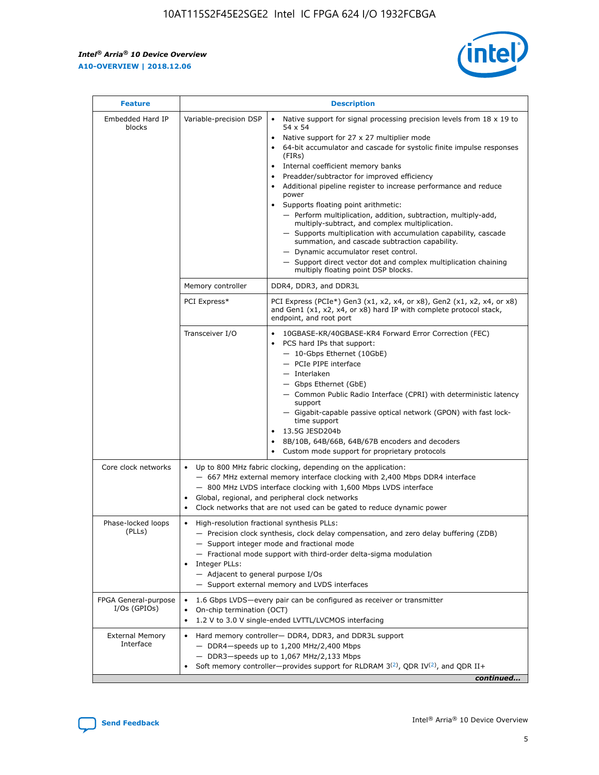r



| <b>Feature</b>                         |                                                                                                                | <b>Description</b>                                                                                                                                                                                                                                                                                                                                                                                                                                                                                                                                                                                                                                                                                                                                                                                                                     |
|----------------------------------------|----------------------------------------------------------------------------------------------------------------|----------------------------------------------------------------------------------------------------------------------------------------------------------------------------------------------------------------------------------------------------------------------------------------------------------------------------------------------------------------------------------------------------------------------------------------------------------------------------------------------------------------------------------------------------------------------------------------------------------------------------------------------------------------------------------------------------------------------------------------------------------------------------------------------------------------------------------------|
| Embedded Hard IP<br>blocks             | Variable-precision DSP                                                                                         | Native support for signal processing precision levels from $18 \times 19$ to<br>54 x 54<br>Native support for 27 x 27 multiplier mode<br>64-bit accumulator and cascade for systolic finite impulse responses<br>(FIRs)<br>Internal coefficient memory banks<br>$\bullet$<br>Preadder/subtractor for improved efficiency<br>Additional pipeline register to increase performance and reduce<br>power<br>Supports floating point arithmetic:<br>- Perform multiplication, addition, subtraction, multiply-add,<br>multiply-subtract, and complex multiplication.<br>- Supports multiplication with accumulation capability, cascade<br>summation, and cascade subtraction capability.<br>- Dynamic accumulator reset control.<br>- Support direct vector dot and complex multiplication chaining<br>multiply floating point DSP blocks. |
|                                        | Memory controller                                                                                              | DDR4, DDR3, and DDR3L                                                                                                                                                                                                                                                                                                                                                                                                                                                                                                                                                                                                                                                                                                                                                                                                                  |
|                                        | PCI Express*                                                                                                   | PCI Express (PCIe*) Gen3 (x1, x2, x4, or x8), Gen2 (x1, x2, x4, or x8)<br>and Gen1 (x1, x2, x4, or x8) hard IP with complete protocol stack,<br>endpoint, and root port                                                                                                                                                                                                                                                                                                                                                                                                                                                                                                                                                                                                                                                                |
|                                        | Transceiver I/O                                                                                                | 10GBASE-KR/40GBASE-KR4 Forward Error Correction (FEC)<br>PCS hard IPs that support:<br>$\bullet$<br>- 10-Gbps Ethernet (10GbE)<br>- PCIe PIPE interface<br>$-$ Interlaken<br>- Gbps Ethernet (GbE)<br>- Common Public Radio Interface (CPRI) with deterministic latency<br>support<br>- Gigabit-capable passive optical network (GPON) with fast lock-<br>time support<br>13.5G JESD204b<br>$\bullet$<br>8B/10B, 64B/66B, 64B/67B encoders and decoders<br>Custom mode support for proprietary protocols                                                                                                                                                                                                                                                                                                                               |
| Core clock networks                    | $\bullet$<br>$\bullet$                                                                                         | Up to 800 MHz fabric clocking, depending on the application:<br>- 667 MHz external memory interface clocking with 2,400 Mbps DDR4 interface<br>- 800 MHz LVDS interface clocking with 1,600 Mbps LVDS interface<br>Global, regional, and peripheral clock networks<br>Clock networks that are not used can be gated to reduce dynamic power                                                                                                                                                                                                                                                                                                                                                                                                                                                                                            |
| Phase-locked loops<br>(PLLs)           | High-resolution fractional synthesis PLLs:<br>$\bullet$<br>Integer PLLs:<br>- Adjacent to general purpose I/Os | - Precision clock synthesis, clock delay compensation, and zero delay buffering (ZDB)<br>- Support integer mode and fractional mode<br>- Fractional mode support with third-order delta-sigma modulation<br>- Support external memory and LVDS interfaces                                                                                                                                                                                                                                                                                                                                                                                                                                                                                                                                                                              |
| FPGA General-purpose<br>$I/Os$ (GPIOs) | On-chip termination (OCT)                                                                                      | 1.6 Gbps LVDS-every pair can be configured as receiver or transmitter<br>1.2 V to 3.0 V single-ended LVTTL/LVCMOS interfacing                                                                                                                                                                                                                                                                                                                                                                                                                                                                                                                                                                                                                                                                                                          |
| <b>External Memory</b><br>Interface    |                                                                                                                | Hard memory controller- DDR4, DDR3, and DDR3L support<br>$-$ DDR4 $-$ speeds up to 1,200 MHz/2,400 Mbps<br>- DDR3-speeds up to 1,067 MHz/2,133 Mbps<br>Soft memory controller—provides support for RLDRAM $3^{(2)}$ , QDR IV $^{(2)}$ , and QDR II+<br>continued                                                                                                                                                                                                                                                                                                                                                                                                                                                                                                                                                                       |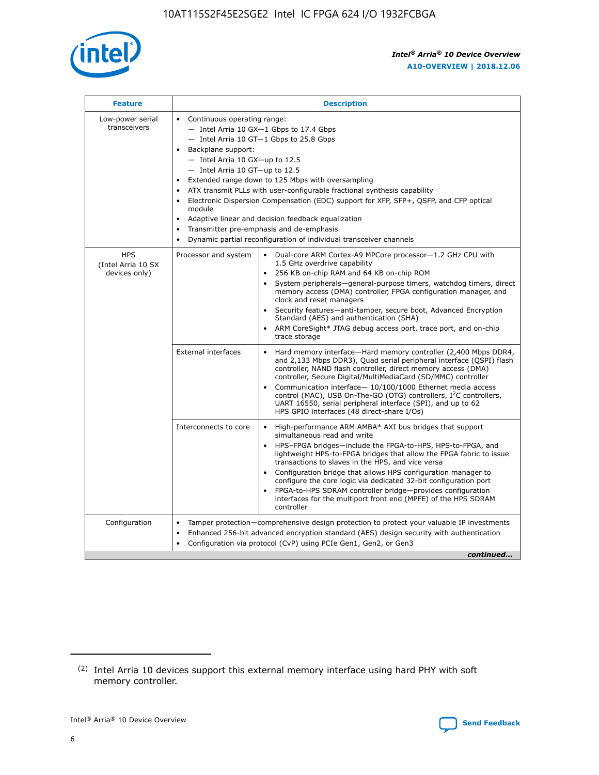

| <b>Feature</b>                                    | <b>Description</b>                                                                                                                                                                                                                                                                                                                                                                                                                                                                                                                                                                                                                         |  |  |  |  |  |  |
|---------------------------------------------------|--------------------------------------------------------------------------------------------------------------------------------------------------------------------------------------------------------------------------------------------------------------------------------------------------------------------------------------------------------------------------------------------------------------------------------------------------------------------------------------------------------------------------------------------------------------------------------------------------------------------------------------------|--|--|--|--|--|--|
| Low-power serial<br>transceivers                  | • Continuous operating range:<br>- Intel Arria 10 GX-1 Gbps to 17.4 Gbps<br>- Intel Arria 10 GT-1 Gbps to 25.8 Gbps<br>Backplane support:<br>$-$ Intel Arria 10 GX-up to 12.5<br>- Intel Arria 10 GT-up to 12.5<br>Extended range down to 125 Mbps with oversampling<br>ATX transmit PLLs with user-configurable fractional synthesis capability<br>Electronic Dispersion Compensation (EDC) support for XFP, SFP+, QSFP, and CFP optical<br>module<br>• Adaptive linear and decision feedback equalization<br>Transmitter pre-emphasis and de-emphasis<br>$\bullet$<br>Dynamic partial reconfiguration of individual transceiver channels |  |  |  |  |  |  |
| <b>HPS</b><br>(Intel Arria 10 SX<br>devices only) | Dual-core ARM Cortex-A9 MPCore processor-1.2 GHz CPU with<br>Processor and system<br>$\bullet$<br>1.5 GHz overdrive capability<br>256 KB on-chip RAM and 64 KB on-chip ROM<br>System peripherals-general-purpose timers, watchdog timers, direct<br>memory access (DMA) controller, FPGA configuration manager, and<br>clock and reset managers<br>Security features-anti-tamper, secure boot, Advanced Encryption<br>$\bullet$<br>Standard (AES) and authentication (SHA)<br>ARM CoreSight* JTAG debug access port, trace port, and on-chip<br>trace storage                                                                              |  |  |  |  |  |  |
|                                                   | <b>External interfaces</b><br>Hard memory interface-Hard memory controller (2,400 Mbps DDR4,<br>$\bullet$<br>and 2,133 Mbps DDR3), Quad serial peripheral interface (QSPI) flash<br>controller, NAND flash controller, direct memory access (DMA)<br>controller, Secure Digital/MultiMediaCard (SD/MMC) controller<br>Communication interface-10/100/1000 Ethernet media access<br>$\bullet$<br>control (MAC), USB On-The-GO (OTG) controllers, I <sup>2</sup> C controllers,<br>UART 16550, serial peripheral interface (SPI), and up to 62<br>HPS GPIO interfaces (48 direct-share I/Os)                                                 |  |  |  |  |  |  |
|                                                   | High-performance ARM AMBA* AXI bus bridges that support<br>Interconnects to core<br>$\bullet$<br>simultaneous read and write<br>HPS-FPGA bridges-include the FPGA-to-HPS, HPS-to-FPGA, and<br>$\bullet$<br>lightweight HPS-to-FPGA bridges that allow the FPGA fabric to issue<br>transactions to slaves in the HPS, and vice versa<br>Configuration bridge that allows HPS configuration manager to<br>configure the core logic via dedicated 32-bit configuration port<br>FPGA-to-HPS SDRAM controller bridge-provides configuration<br>interfaces for the multiport front end (MPFE) of the HPS SDRAM<br>controller                     |  |  |  |  |  |  |
| Configuration                                     | Tamper protection—comprehensive design protection to protect your valuable IP investments<br>Enhanced 256-bit advanced encryption standard (AES) design security with authentication<br>٠<br>Configuration via protocol (CvP) using PCIe Gen1, Gen2, or Gen3<br>continued                                                                                                                                                                                                                                                                                                                                                                  |  |  |  |  |  |  |

<sup>(2)</sup> Intel Arria 10 devices support this external memory interface using hard PHY with soft memory controller.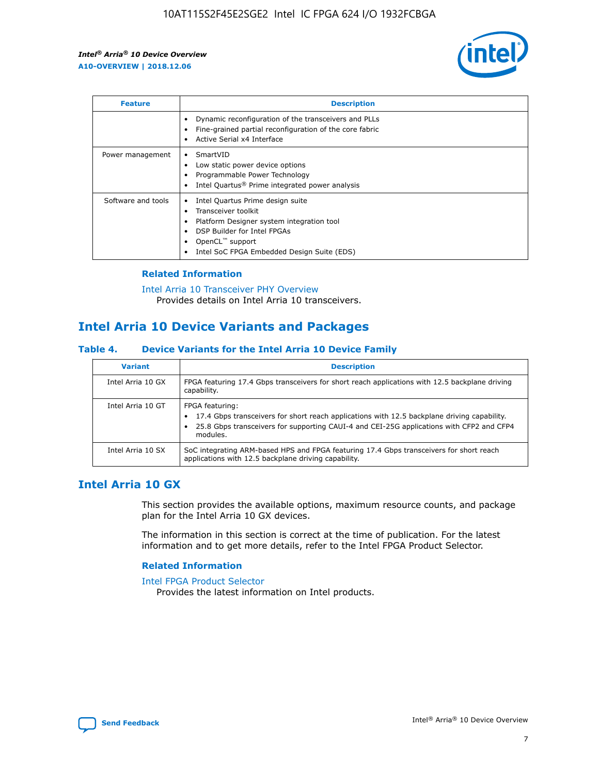

| <b>Feature</b>     | <b>Description</b>                                                                                                                                                                                                    |
|--------------------|-----------------------------------------------------------------------------------------------------------------------------------------------------------------------------------------------------------------------|
|                    | Dynamic reconfiguration of the transceivers and PLLs<br>Fine-grained partial reconfiguration of the core fabric<br>Active Serial x4 Interface                                                                         |
| Power management   | SmartVID<br>Low static power device options<br>Programmable Power Technology<br>Intel Quartus <sup>®</sup> Prime integrated power analysis                                                                            |
| Software and tools | Intel Quartus Prime design suite<br>Transceiver toolkit<br>٠<br>Platform Designer system integration tool<br>DSP Builder for Intel FPGAs<br>OpenCL <sup>™</sup> support<br>Intel SoC FPGA Embedded Design Suite (EDS) |

## **Related Information**

[Intel Arria 10 Transceiver PHY Overview](https://www.intel.com/content/www/us/en/programmable/documentation/nik1398707230472.html#nik1398706768037) Provides details on Intel Arria 10 transceivers.

# **Intel Arria 10 Device Variants and Packages**

#### **Table 4. Device Variants for the Intel Arria 10 Device Family**

| <b>Variant</b>    | <b>Description</b>                                                                                                                                                                                                     |
|-------------------|------------------------------------------------------------------------------------------------------------------------------------------------------------------------------------------------------------------------|
| Intel Arria 10 GX | FPGA featuring 17.4 Gbps transceivers for short reach applications with 12.5 backplane driving<br>capability.                                                                                                          |
| Intel Arria 10 GT | FPGA featuring:<br>17.4 Gbps transceivers for short reach applications with 12.5 backplane driving capability.<br>25.8 Gbps transceivers for supporting CAUI-4 and CEI-25G applications with CFP2 and CFP4<br>modules. |
| Intel Arria 10 SX | SoC integrating ARM-based HPS and FPGA featuring 17.4 Gbps transceivers for short reach<br>applications with 12.5 backplane driving capability.                                                                        |

# **Intel Arria 10 GX**

This section provides the available options, maximum resource counts, and package plan for the Intel Arria 10 GX devices.

The information in this section is correct at the time of publication. For the latest information and to get more details, refer to the Intel FPGA Product Selector.

#### **Related Information**

#### [Intel FPGA Product Selector](http://www.altera.com/products/selector/psg-selector.html) Provides the latest information on Intel products.

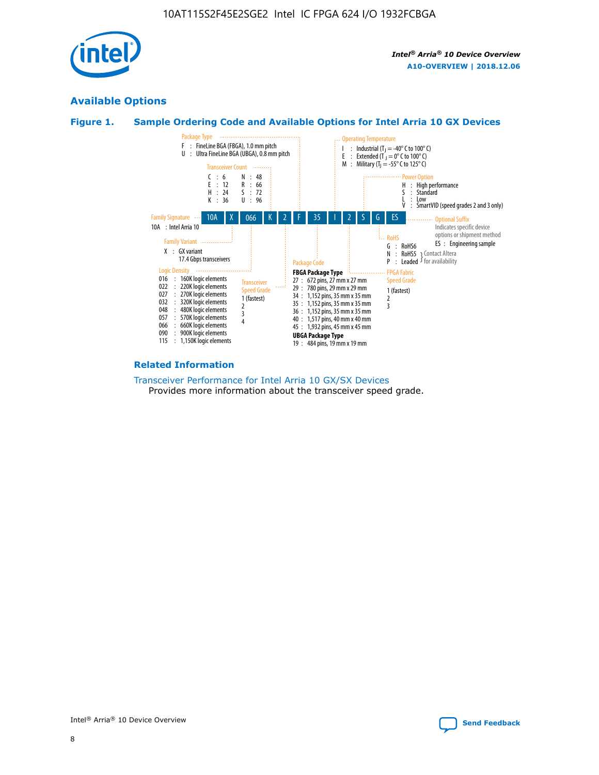

# **Available Options**





#### **Related Information**

[Transceiver Performance for Intel Arria 10 GX/SX Devices](https://www.intel.com/content/www/us/en/programmable/documentation/mcn1413182292568.html#mcn1413213965502) Provides more information about the transceiver speed grade.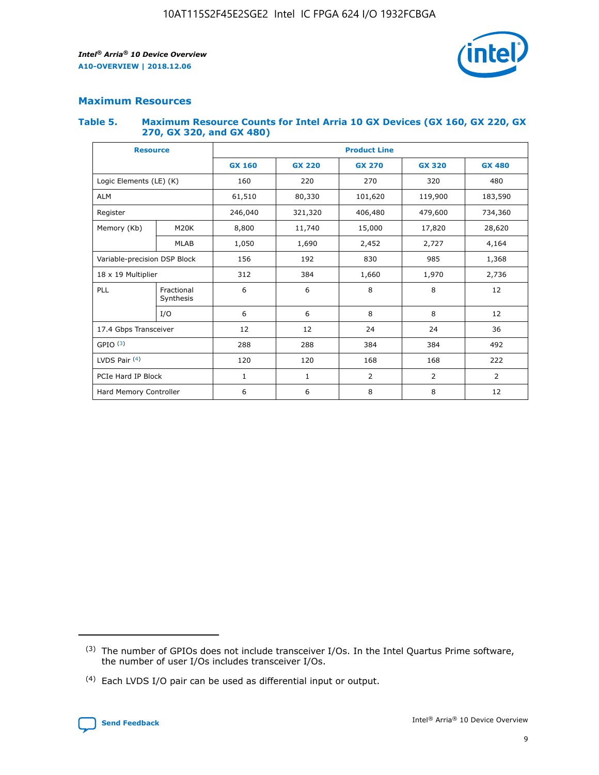

## **Maximum Resources**

#### **Table 5. Maximum Resource Counts for Intel Arria 10 GX Devices (GX 160, GX 220, GX 270, GX 320, and GX 480)**

| <b>Resource</b>         |                              | <b>Product Line</b> |                                |                |                |                |  |  |  |
|-------------------------|------------------------------|---------------------|--------------------------------|----------------|----------------|----------------|--|--|--|
|                         |                              | <b>GX 160</b>       | <b>GX 220</b><br><b>GX 270</b> |                | <b>GX 320</b>  | <b>GX 480</b>  |  |  |  |
| Logic Elements (LE) (K) |                              | 160                 | 220                            | 270            | 320            | 480            |  |  |  |
| <b>ALM</b>              |                              | 61,510              | 80,330                         | 101,620        | 119,900        | 183,590        |  |  |  |
| Register                |                              | 246,040             | 321,320                        | 406,480        | 479,600        | 734,360        |  |  |  |
| Memory (Kb)             | M <sub>20</sub> K            | 8,800               | 11,740                         | 15,000         | 17,820         | 28,620         |  |  |  |
|                         | <b>MLAB</b>                  | 1,050               | 1,690                          | 2,452          | 2,727          | 4,164          |  |  |  |
|                         | Variable-precision DSP Block |                     | 192                            | 830<br>985     |                | 1,368          |  |  |  |
| 18 x 19 Multiplier      |                              | 312                 | 384                            | 1,970<br>1,660 |                | 2,736          |  |  |  |
| PLL                     | Fractional<br>Synthesis      | 6                   | 6                              | 8              | 8              | 12             |  |  |  |
|                         | I/O                          | 6                   | 6                              | 8              | 8              | 12             |  |  |  |
| 17.4 Gbps Transceiver   |                              | 12                  | 12                             | 24             | 24             | 36             |  |  |  |
| GPIO <sup>(3)</sup>     |                              | 288                 | 288                            | 384<br>384     |                | 492            |  |  |  |
| LVDS Pair $(4)$         |                              | 120                 | 120                            | 168            | 168            | 222            |  |  |  |
| PCIe Hard IP Block      |                              | $\mathbf{1}$        | 1                              | $\overline{2}$ | $\overline{2}$ | $\overline{2}$ |  |  |  |
| Hard Memory Controller  |                              | 6                   | 6                              | 8              | 8              | 12             |  |  |  |

<sup>(4)</sup> Each LVDS I/O pair can be used as differential input or output.



<sup>(3)</sup> The number of GPIOs does not include transceiver I/Os. In the Intel Quartus Prime software, the number of user I/Os includes transceiver I/Os.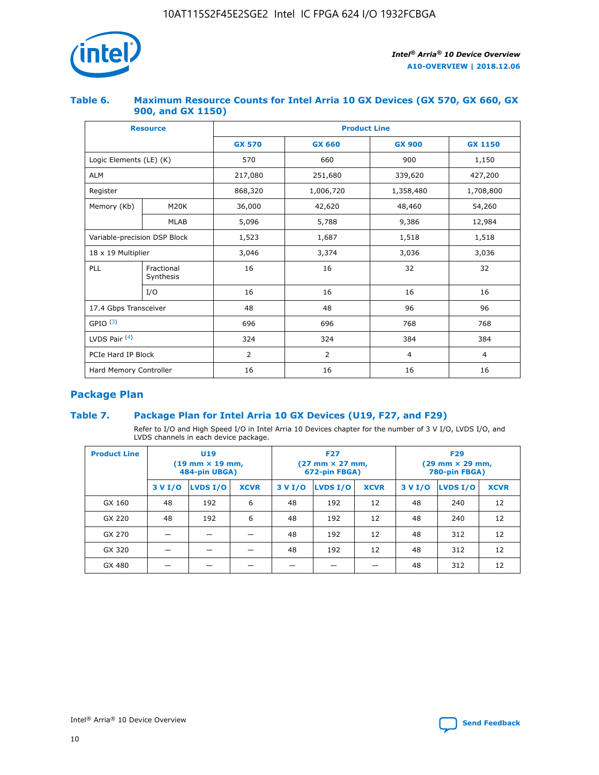

## **Table 6. Maximum Resource Counts for Intel Arria 10 GX Devices (GX 570, GX 660, GX 900, and GX 1150)**

|                              | <b>Resource</b>         | <b>Product Line</b> |                |                |                |  |  |  |
|------------------------------|-------------------------|---------------------|----------------|----------------|----------------|--|--|--|
|                              |                         | <b>GX 570</b>       | <b>GX 660</b>  |                | <b>GX 1150</b> |  |  |  |
| Logic Elements (LE) (K)      |                         | 570                 | 660            | 900            | 1,150          |  |  |  |
| <b>ALM</b>                   |                         | 217,080             | 251,680        | 339,620        | 427,200        |  |  |  |
| Register                     |                         | 868,320             | 1,006,720      | 1,358,480      | 1,708,800      |  |  |  |
| Memory (Kb)                  | <b>M20K</b>             | 36,000              | 42,620         | 48,460         | 54,260         |  |  |  |
|                              | <b>MLAB</b>             | 5,096               | 5,788          | 9,386          | 12,984         |  |  |  |
| Variable-precision DSP Block |                         | 1,523               | 1,687          | 1,518          | 1,518          |  |  |  |
| $18 \times 19$ Multiplier    |                         | 3,046               | 3,374          | 3,036          | 3,036          |  |  |  |
| PLL                          | Fractional<br>Synthesis | 16                  | 16             | 32             | 32             |  |  |  |
|                              | I/O                     | 16                  | 16             | 16             | 16             |  |  |  |
| 17.4 Gbps Transceiver        |                         | 48                  | 96<br>48       |                | 96             |  |  |  |
| GPIO <sup>(3)</sup>          |                         | 696                 | 696            | 768            | 768            |  |  |  |
| LVDS Pair $(4)$              |                         | 324                 | 324            | 384            | 384            |  |  |  |
| PCIe Hard IP Block           |                         | $\overline{2}$      | $\overline{2}$ | $\overline{4}$ | $\overline{4}$ |  |  |  |
| Hard Memory Controller       |                         | 16                  | 16             | 16             | 16             |  |  |  |

# **Package Plan**

# **Table 7. Package Plan for Intel Arria 10 GX Devices (U19, F27, and F29)**

Refer to I/O and High Speed I/O in Intel Arria 10 Devices chapter for the number of 3 V I/O, LVDS I/O, and LVDS channels in each device package.

| <b>Product Line</b> | U <sub>19</sub><br>$(19 \text{ mm} \times 19 \text{ mm})$<br>484-pin UBGA) |          |             |         | <b>F27</b><br>(27 mm × 27 mm,<br>672-pin FBGA) |             | <b>F29</b><br>(29 mm × 29 mm,<br>780-pin FBGA) |          |             |  |
|---------------------|----------------------------------------------------------------------------|----------|-------------|---------|------------------------------------------------|-------------|------------------------------------------------|----------|-------------|--|
|                     | 3 V I/O                                                                    | LVDS I/O | <b>XCVR</b> | 3 V I/O | LVDS I/O                                       | <b>XCVR</b> | 3 V I/O                                        | LVDS I/O | <b>XCVR</b> |  |
| GX 160              | 48                                                                         | 192      | 6           | 48      | 192                                            | 12          | 48                                             | 240      | 12          |  |
| GX 220              | 48                                                                         | 192      | 6           | 48      | 192                                            | 12          | 48                                             | 240      | 12          |  |
| GX 270              |                                                                            |          |             | 48      | 192                                            | 12          | 48                                             | 312      | 12          |  |
| GX 320              |                                                                            |          |             | 48      | 192                                            | 12          | 48                                             | 312      | 12          |  |
| GX 480              |                                                                            |          |             |         |                                                |             | 48                                             | 312      | 12          |  |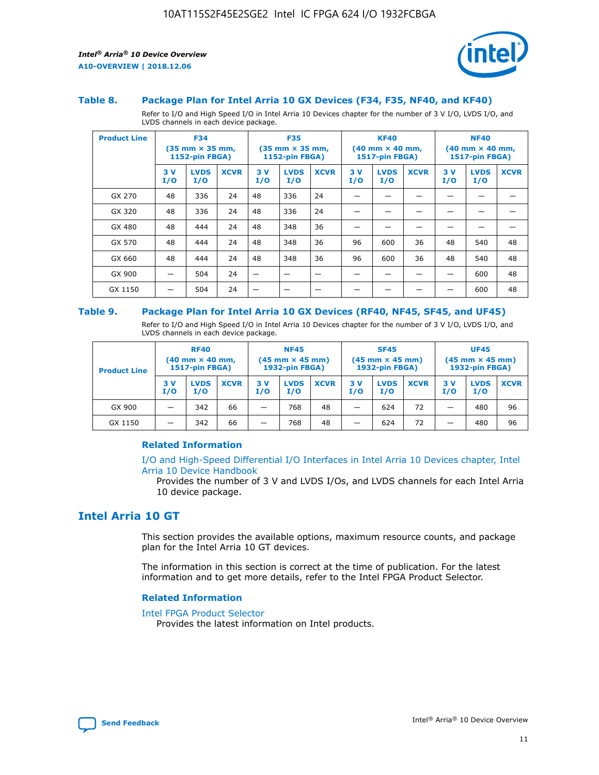

#### **Table 8. Package Plan for Intel Arria 10 GX Devices (F34, F35, NF40, and KF40)**

Refer to I/O and High Speed I/O in Intel Arria 10 Devices chapter for the number of 3 V I/O, LVDS I/O, and LVDS channels in each device package.

| <b>Product Line</b> | <b>F34</b><br>$(35 \text{ mm} \times 35 \text{ mm})$<br><b>1152-pin FBGA)</b> |                    | <b>F35</b><br>$(35 \text{ mm} \times 35 \text{ mm})$<br><b>1152-pin FBGA)</b> |           | <b>KF40</b><br>$(40$ mm $\times$ 40 mm,<br>1517-pin FBGA) |             |           | <b>NF40</b><br>$(40 \text{ mm} \times 40 \text{ mm})$<br>1517-pin FBGA) |             |           |                    |             |
|---------------------|-------------------------------------------------------------------------------|--------------------|-------------------------------------------------------------------------------|-----------|-----------------------------------------------------------|-------------|-----------|-------------------------------------------------------------------------|-------------|-----------|--------------------|-------------|
|                     | 3V<br>I/O                                                                     | <b>LVDS</b><br>I/O | <b>XCVR</b>                                                                   | 3V<br>I/O | <b>LVDS</b><br>I/O                                        | <b>XCVR</b> | 3V<br>I/O | <b>LVDS</b><br>I/O                                                      | <b>XCVR</b> | 3V<br>I/O | <b>LVDS</b><br>I/O | <b>XCVR</b> |
| GX 270              | 48                                                                            | 336                | 24                                                                            | 48        | 336                                                       | 24          |           |                                                                         |             |           |                    |             |
| GX 320              | 48                                                                            | 336                | 24                                                                            | 48        | 336                                                       | 24          |           |                                                                         |             |           |                    |             |
| GX 480              | 48                                                                            | 444                | 24                                                                            | 48        | 348                                                       | 36          |           |                                                                         |             |           |                    |             |
| GX 570              | 48                                                                            | 444                | 24                                                                            | 48        | 348                                                       | 36          | 96        | 600                                                                     | 36          | 48        | 540                | 48          |
| GX 660              | 48                                                                            | 444                | 24                                                                            | 48        | 348                                                       | 36          | 96        | 600                                                                     | 36          | 48        | 540                | 48          |
| GX 900              |                                                                               | 504                | 24                                                                            | –         |                                                           | -           |           |                                                                         |             |           | 600                | 48          |
| GX 1150             |                                                                               | 504                | 24                                                                            |           |                                                           |             |           |                                                                         |             |           | 600                | 48          |

#### **Table 9. Package Plan for Intel Arria 10 GX Devices (RF40, NF45, SF45, and UF45)**

Refer to I/O and High Speed I/O in Intel Arria 10 Devices chapter for the number of 3 V I/O, LVDS I/O, and LVDS channels in each device package.

| <b>Product Line</b> | <b>RF40</b><br>$(40$ mm $\times$ 40 mm,<br>1517-pin FBGA) |                    | <b>NF45</b><br>$(45 \text{ mm} \times 45 \text{ mm})$<br><b>1932-pin FBGA)</b> |           |                    | <b>SF45</b><br>$(45 \text{ mm} \times 45 \text{ mm})$<br><b>1932-pin FBGA)</b> |            |                    | <b>UF45</b><br>$(45 \text{ mm} \times 45 \text{ mm})$<br><b>1932-pin FBGA)</b> |           |                    |             |
|---------------------|-----------------------------------------------------------|--------------------|--------------------------------------------------------------------------------|-----------|--------------------|--------------------------------------------------------------------------------|------------|--------------------|--------------------------------------------------------------------------------|-----------|--------------------|-------------|
|                     | 3V<br>I/O                                                 | <b>LVDS</b><br>I/O | <b>XCVR</b>                                                                    | 3V<br>I/O | <b>LVDS</b><br>I/O | <b>XCVR</b>                                                                    | 3 V<br>I/O | <b>LVDS</b><br>I/O | <b>XCVR</b>                                                                    | 3V<br>I/O | <b>LVDS</b><br>I/O | <b>XCVR</b> |
| GX 900              |                                                           | 342                | 66                                                                             | -         | 768                | 48                                                                             |            | 624                | 72                                                                             |           | 480                | 96          |
| GX 1150             |                                                           | 342                | 66                                                                             | -         | 768                | 48                                                                             | _          | 624                | 72                                                                             |           | 480                | 96          |

## **Related Information**

[I/O and High-Speed Differential I/O Interfaces in Intel Arria 10 Devices chapter, Intel](https://www.intel.com/content/www/us/en/programmable/documentation/sam1403482614086.html#sam1403482030321) [Arria 10 Device Handbook](https://www.intel.com/content/www/us/en/programmable/documentation/sam1403482614086.html#sam1403482030321)

Provides the number of 3 V and LVDS I/Os, and LVDS channels for each Intel Arria 10 device package.

# **Intel Arria 10 GT**

This section provides the available options, maximum resource counts, and package plan for the Intel Arria 10 GT devices.

The information in this section is correct at the time of publication. For the latest information and to get more details, refer to the Intel FPGA Product Selector.

#### **Related Information**

#### [Intel FPGA Product Selector](http://www.altera.com/products/selector/psg-selector.html)

Provides the latest information on Intel products.

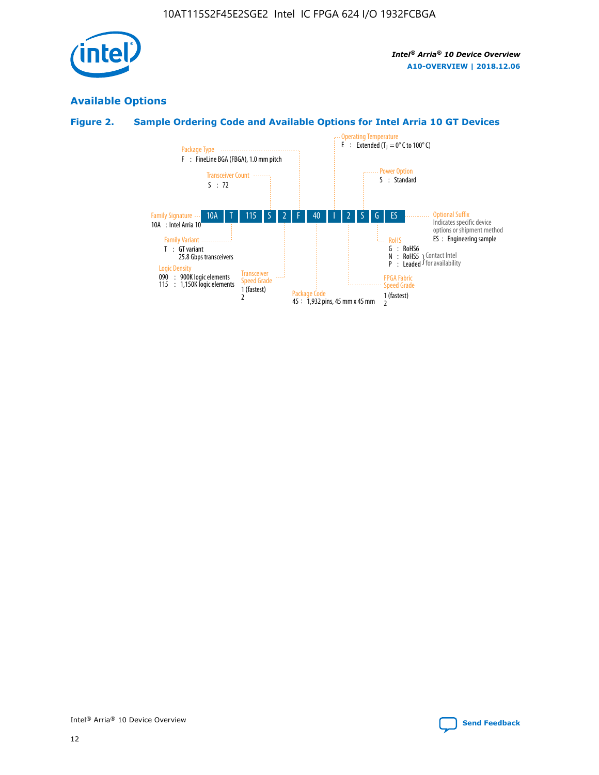

# **Available Options**

# **Figure 2. Sample Ordering Code and Available Options for Intel Arria 10 GT Devices**

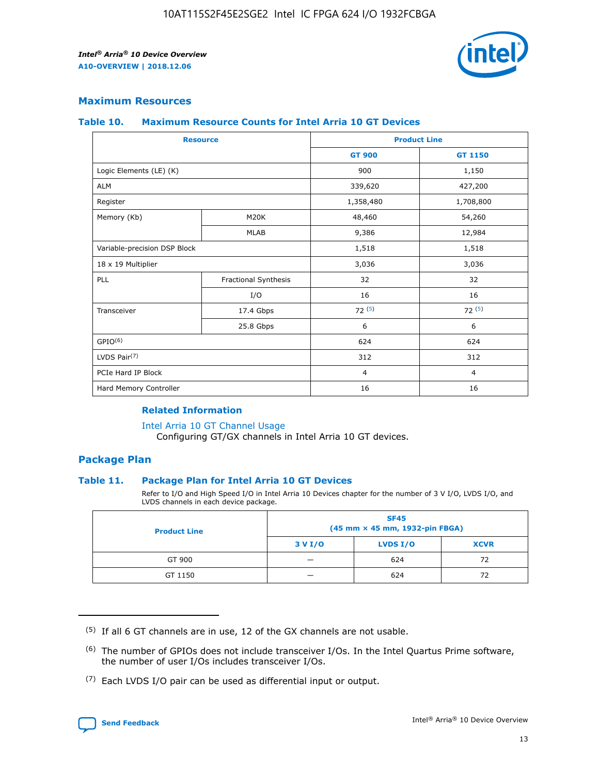

## **Maximum Resources**

#### **Table 10. Maximum Resource Counts for Intel Arria 10 GT Devices**

| <b>Resource</b>              |                      |                | <b>Product Line</b> |  |
|------------------------------|----------------------|----------------|---------------------|--|
|                              |                      | <b>GT 900</b>  | <b>GT 1150</b>      |  |
| Logic Elements (LE) (K)      |                      | 900            | 1,150               |  |
| <b>ALM</b>                   |                      | 339,620        | 427,200             |  |
| Register                     |                      | 1,358,480      | 1,708,800           |  |
| Memory (Kb)                  | M20K                 | 48,460         | 54,260              |  |
|                              | <b>MLAB</b>          | 9,386          | 12,984              |  |
| Variable-precision DSP Block |                      | 1,518          | 1,518               |  |
| 18 x 19 Multiplier           |                      | 3,036          | 3,036               |  |
| PLL                          | Fractional Synthesis | 32             | 32                  |  |
|                              | I/O                  | 16             | 16                  |  |
| Transceiver                  | 17.4 Gbps            | 72(5)          | 72(5)               |  |
|                              | 25.8 Gbps            | 6              | 6                   |  |
| GPIO <sup>(6)</sup>          |                      | 624            | 624                 |  |
| LVDS Pair $(7)$              |                      | 312            | 312                 |  |
| PCIe Hard IP Block           |                      | $\overline{4}$ | $\overline{4}$      |  |
| Hard Memory Controller       |                      | 16             | 16                  |  |

## **Related Information**

#### [Intel Arria 10 GT Channel Usage](https://www.intel.com/content/www/us/en/programmable/documentation/nik1398707230472.html#nik1398707008178)

Configuring GT/GX channels in Intel Arria 10 GT devices.

## **Package Plan**

## **Table 11. Package Plan for Intel Arria 10 GT Devices**

Refer to I/O and High Speed I/O in Intel Arria 10 Devices chapter for the number of 3 V I/O, LVDS I/O, and LVDS channels in each device package.

| <b>Product Line</b> | <b>SF45</b><br>(45 mm × 45 mm, 1932-pin FBGA) |                 |             |  |  |  |
|---------------------|-----------------------------------------------|-----------------|-------------|--|--|--|
|                     | 3 V I/O                                       | <b>LVDS I/O</b> | <b>XCVR</b> |  |  |  |
| GT 900              |                                               | 624             | 72          |  |  |  |
| GT 1150             |                                               | 624             | 72          |  |  |  |

<sup>(7)</sup> Each LVDS I/O pair can be used as differential input or output.



 $(5)$  If all 6 GT channels are in use, 12 of the GX channels are not usable.

<sup>(6)</sup> The number of GPIOs does not include transceiver I/Os. In the Intel Quartus Prime software, the number of user I/Os includes transceiver I/Os.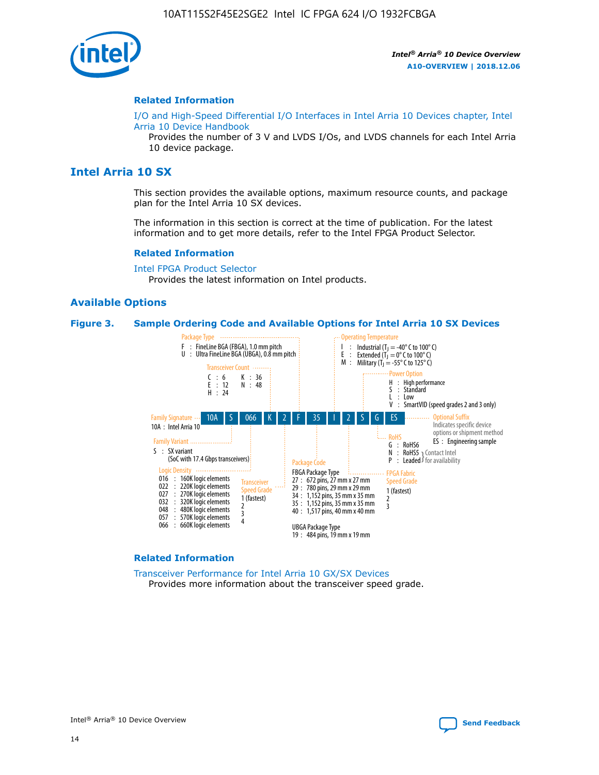

#### **Related Information**

[I/O and High-Speed Differential I/O Interfaces in Intel Arria 10 Devices chapter, Intel](https://www.intel.com/content/www/us/en/programmable/documentation/sam1403482614086.html#sam1403482030321) [Arria 10 Device Handbook](https://www.intel.com/content/www/us/en/programmable/documentation/sam1403482614086.html#sam1403482030321)

Provides the number of 3 V and LVDS I/Os, and LVDS channels for each Intel Arria 10 device package.

# **Intel Arria 10 SX**

This section provides the available options, maximum resource counts, and package plan for the Intel Arria 10 SX devices.

The information in this section is correct at the time of publication. For the latest information and to get more details, refer to the Intel FPGA Product Selector.

#### **Related Information**

[Intel FPGA Product Selector](http://www.altera.com/products/selector/psg-selector.html) Provides the latest information on Intel products.

## **Available Options**

#### **Figure 3. Sample Ordering Code and Available Options for Intel Arria 10 SX Devices**



#### **Related Information**

[Transceiver Performance for Intel Arria 10 GX/SX Devices](https://www.intel.com/content/www/us/en/programmable/documentation/mcn1413182292568.html#mcn1413213965502) Provides more information about the transceiver speed grade.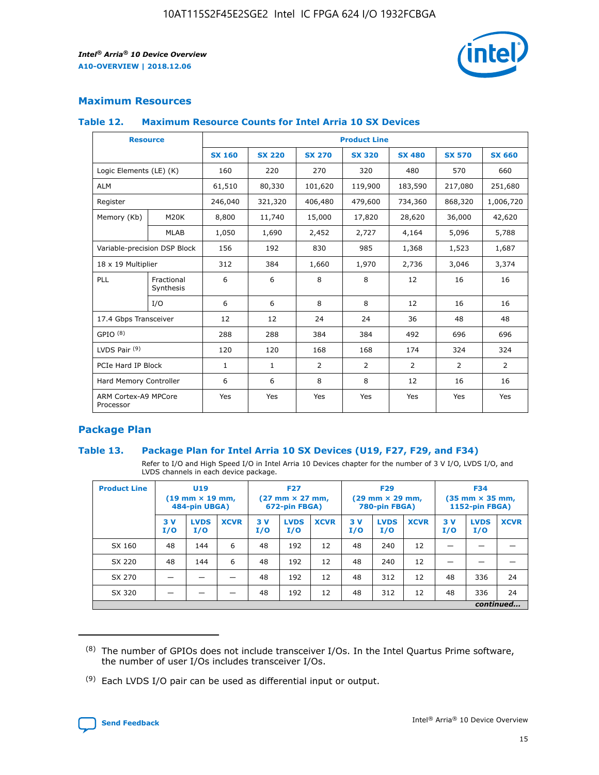

# **Maximum Resources**

#### **Table 12. Maximum Resource Counts for Intel Arria 10 SX Devices**

|                                   | <b>Resource</b>         | <b>Product Line</b> |               |                |                |                |                |                |  |  |  |
|-----------------------------------|-------------------------|---------------------|---------------|----------------|----------------|----------------|----------------|----------------|--|--|--|
|                                   |                         | <b>SX 160</b>       | <b>SX 220</b> | <b>SX 270</b>  | <b>SX 320</b>  | <b>SX 480</b>  | <b>SX 570</b>  | <b>SX 660</b>  |  |  |  |
| Logic Elements (LE) (K)           |                         | 160                 | 220           | 270            | 320            | 480            | 570            | 660            |  |  |  |
| <b>ALM</b>                        |                         | 61,510              | 80,330        | 101,620        | 119,900        | 183,590        | 217,080        | 251,680        |  |  |  |
| Register                          |                         | 246,040             | 321,320       | 406,480        | 479,600        | 734,360        | 868,320        | 1,006,720      |  |  |  |
| Memory (Kb)                       | M <sub>20</sub> K       | 8,800               | 11,740        | 15,000         | 17,820         | 28,620         | 36,000         | 42,620         |  |  |  |
|                                   | <b>MLAB</b>             | 1,050               | 1,690         | 2,452          | 2,727          | 4,164          | 5,096          | 5,788          |  |  |  |
| Variable-precision DSP Block      |                         | 156                 | 192           | 830            | 985            | 1,368          | 1,523          | 1,687          |  |  |  |
| 18 x 19 Multiplier                |                         | 312                 | 384           | 1,660          | 1,970          | 2,736          | 3,046          | 3,374          |  |  |  |
| <b>PLL</b>                        | Fractional<br>Synthesis | 6                   | 6             | 8              | 8              | 12             | 16             | 16             |  |  |  |
|                                   | I/O                     | 6                   | 6             | 8              | 8              | 12             | 16             | 16             |  |  |  |
| 17.4 Gbps Transceiver             |                         | 12                  | 12            | 24             | 24             | 36             | 48             | 48             |  |  |  |
| GPIO <sup>(8)</sup>               |                         | 288                 | 288           | 384            | 384            | 492            | 696            | 696            |  |  |  |
| LVDS Pair $(9)$                   |                         | 120                 | 120           | 168            | 168            | 174            | 324            | 324            |  |  |  |
| PCIe Hard IP Block                |                         | $\mathbf{1}$        | $\mathbf{1}$  | $\overline{2}$ | $\overline{2}$ | $\overline{2}$ | $\overline{2}$ | $\overline{2}$ |  |  |  |
| Hard Memory Controller            |                         | 6                   | 6             | 8              | 8              | 12             | 16             | 16             |  |  |  |
| ARM Cortex-A9 MPCore<br>Processor |                         | Yes                 | Yes           | Yes            | Yes            | Yes            | Yes            | Yes            |  |  |  |

# **Package Plan**

## **Table 13. Package Plan for Intel Arria 10 SX Devices (U19, F27, F29, and F34)**

Refer to I/O and High Speed I/O in Intel Arria 10 Devices chapter for the number of 3 V I/O, LVDS I/O, and LVDS channels in each device package.

| <b>Product Line</b> | U19<br>$(19 \text{ mm} \times 19 \text{ mm})$<br>484-pin UBGA) |                    |             | <b>F27</b><br>$(27 \text{ mm} \times 27 \text{ mm})$ .<br>672-pin FBGA) |                    | <b>F29</b><br>$(29 \text{ mm} \times 29 \text{ mm})$ .<br>780-pin FBGA) |            |                    | <b>F34</b><br>$(35 \text{ mm} \times 35 \text{ mm})$<br><b>1152-pin FBGA)</b> |           |                    |             |
|---------------------|----------------------------------------------------------------|--------------------|-------------|-------------------------------------------------------------------------|--------------------|-------------------------------------------------------------------------|------------|--------------------|-------------------------------------------------------------------------------|-----------|--------------------|-------------|
|                     | 3V<br>I/O                                                      | <b>LVDS</b><br>I/O | <b>XCVR</b> | 3V<br>I/O                                                               | <b>LVDS</b><br>I/O | <b>XCVR</b>                                                             | 3 V<br>I/O | <b>LVDS</b><br>I/O | <b>XCVR</b>                                                                   | 3V<br>I/O | <b>LVDS</b><br>I/O | <b>XCVR</b> |
| SX 160              | 48                                                             | 144                | 6           | 48                                                                      | 192                | 12                                                                      | 48         | 240                | 12                                                                            |           |                    |             |
| SX 220              | 48                                                             | 144                | 6           | 48                                                                      | 192                | 12                                                                      | 48         | 240                | 12                                                                            |           |                    |             |
| SX 270              |                                                                |                    |             | 48                                                                      | 192                | 12                                                                      | 48         | 312                | 12                                                                            | 48        | 336                | 24          |
| SX 320              |                                                                |                    |             | 48                                                                      | 192                | 12                                                                      | 48         | 312                | 12                                                                            | 48        | 336                | 24          |
|                     | continued                                                      |                    |             |                                                                         |                    |                                                                         |            |                    |                                                                               |           |                    |             |

 $(8)$  The number of GPIOs does not include transceiver I/Os. In the Intel Quartus Prime software, the number of user I/Os includes transceiver I/Os.

 $(9)$  Each LVDS I/O pair can be used as differential input or output.

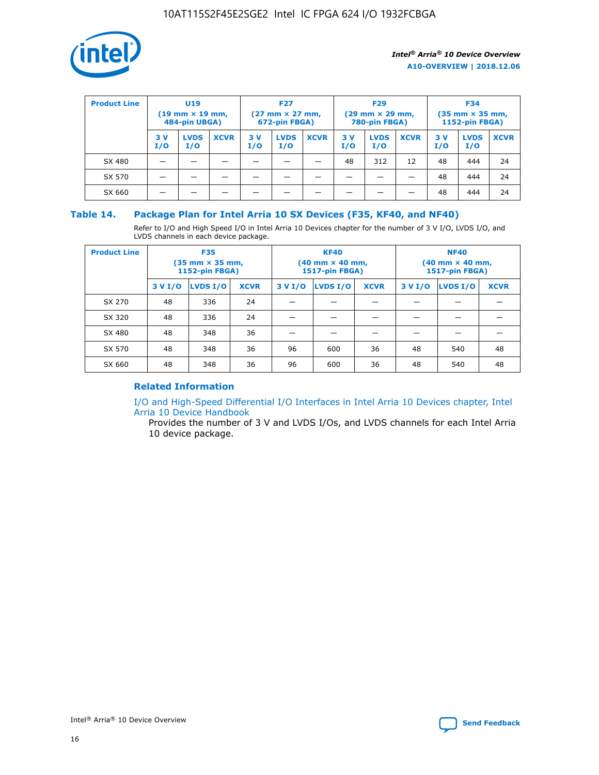

| <b>Product Line</b> | U <sub>19</sub><br>$(19 \text{ mm} \times 19 \text{ mm})$<br>484-pin UBGA) |                    | <b>F27</b><br>$(27 \text{ mm} \times 27 \text{ mm})$<br>672-pin FBGA) |           | <b>F29</b><br>$(29 \text{ mm} \times 29 \text{ mm})$<br>780-pin FBGA) |             |           | <b>F34</b><br>$(35 \text{ mm} \times 35 \text{ mm})$<br><b>1152-pin FBGA)</b> |             |           |                    |             |
|---------------------|----------------------------------------------------------------------------|--------------------|-----------------------------------------------------------------------|-----------|-----------------------------------------------------------------------|-------------|-----------|-------------------------------------------------------------------------------|-------------|-----------|--------------------|-------------|
|                     | 3 V<br>I/O                                                                 | <b>LVDS</b><br>I/O | <b>XCVR</b>                                                           | 3V<br>I/O | <b>LVDS</b><br>I/O                                                    | <b>XCVR</b> | 3V<br>I/O | <b>LVDS</b><br>I/O                                                            | <b>XCVR</b> | 3V<br>I/O | <b>LVDS</b><br>I/O | <b>XCVR</b> |
| SX 480              |                                                                            |                    |                                                                       |           |                                                                       |             | 48        | 312                                                                           | 12          | 48        | 444                | 24          |
| SX 570              |                                                                            |                    |                                                                       |           |                                                                       |             |           |                                                                               |             | 48        | 444                | 24          |
| SX 660              |                                                                            |                    |                                                                       |           |                                                                       |             |           |                                                                               |             | 48        | 444                | 24          |

## **Table 14. Package Plan for Intel Arria 10 SX Devices (F35, KF40, and NF40)**

Refer to I/O and High Speed I/O in Intel Arria 10 Devices chapter for the number of 3 V I/O, LVDS I/O, and LVDS channels in each device package.

| <b>Product Line</b> | <b>F35</b><br>$(35 \text{ mm} \times 35 \text{ mm})$<br><b>1152-pin FBGA)</b> |          |             |                                           | <b>KF40</b><br>(40 mm × 40 mm,<br>1517-pin FBGA) |    | <b>NF40</b><br>$(40 \text{ mm} \times 40 \text{ mm})$<br>1517-pin FBGA) |          |             |  |
|---------------------|-------------------------------------------------------------------------------|----------|-------------|-------------------------------------------|--------------------------------------------------|----|-------------------------------------------------------------------------|----------|-------------|--|
|                     | 3 V I/O                                                                       | LVDS I/O | <b>XCVR</b> | <b>LVDS I/O</b><br><b>XCVR</b><br>3 V I/O |                                                  |    | 3 V I/O                                                                 | LVDS I/O | <b>XCVR</b> |  |
| SX 270              | 48                                                                            | 336      | 24          |                                           |                                                  |    |                                                                         |          |             |  |
| SX 320              | 48                                                                            | 336      | 24          |                                           |                                                  |    |                                                                         |          |             |  |
| SX 480              | 48                                                                            | 348      | 36          |                                           |                                                  |    |                                                                         |          |             |  |
| SX 570              | 48                                                                            | 348      | 36          | 96<br>36<br>600                           |                                                  | 48 | 540                                                                     | 48       |             |  |
| SX 660              | 48                                                                            | 348      | 36          | 96                                        | 600                                              | 36 | 48                                                                      | 540      | 48          |  |

# **Related Information**

[I/O and High-Speed Differential I/O Interfaces in Intel Arria 10 Devices chapter, Intel](https://www.intel.com/content/www/us/en/programmable/documentation/sam1403482614086.html#sam1403482030321) [Arria 10 Device Handbook](https://www.intel.com/content/www/us/en/programmable/documentation/sam1403482614086.html#sam1403482030321)

Provides the number of 3 V and LVDS I/Os, and LVDS channels for each Intel Arria 10 device package.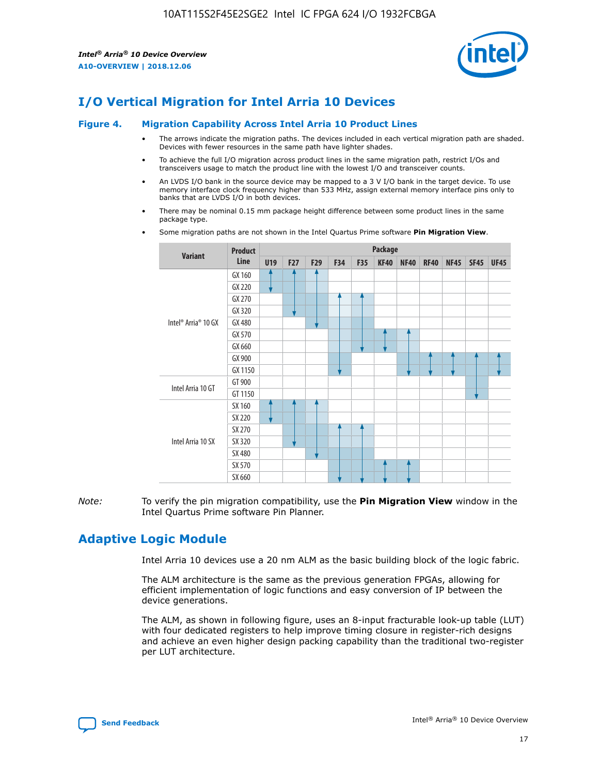

# **I/O Vertical Migration for Intel Arria 10 Devices**

#### **Figure 4. Migration Capability Across Intel Arria 10 Product Lines**

- The arrows indicate the migration paths. The devices included in each vertical migration path are shaded. Devices with fewer resources in the same path have lighter shades.
- To achieve the full I/O migration across product lines in the same migration path, restrict I/Os and transceivers usage to match the product line with the lowest I/O and transceiver counts.
- An LVDS I/O bank in the source device may be mapped to a 3 V I/O bank in the target device. To use memory interface clock frequency higher than 533 MHz, assign external memory interface pins only to banks that are LVDS I/O in both devices.
- There may be nominal 0.15 mm package height difference between some product lines in the same package type.
	- **Variant Product Line Package U19 F27 F29 F34 F35 KF40 NF40 RF40 NF45 SF45 UF45** Intel® Arria® 10 GX GX 160 GX 220 GX 270 GX 320 GX 480 GX 570 GX 660 GX 900 GX 1150 Intel Arria 10 GT GT 900 GT 1150 Intel Arria 10 SX SX 160 SX 220 SX 270 SX 320 SX 480 SX 570 SX 660
- Some migration paths are not shown in the Intel Quartus Prime software **Pin Migration View**.

*Note:* To verify the pin migration compatibility, use the **Pin Migration View** window in the Intel Quartus Prime software Pin Planner.

# **Adaptive Logic Module**

Intel Arria 10 devices use a 20 nm ALM as the basic building block of the logic fabric.

The ALM architecture is the same as the previous generation FPGAs, allowing for efficient implementation of logic functions and easy conversion of IP between the device generations.

The ALM, as shown in following figure, uses an 8-input fracturable look-up table (LUT) with four dedicated registers to help improve timing closure in register-rich designs and achieve an even higher design packing capability than the traditional two-register per LUT architecture.

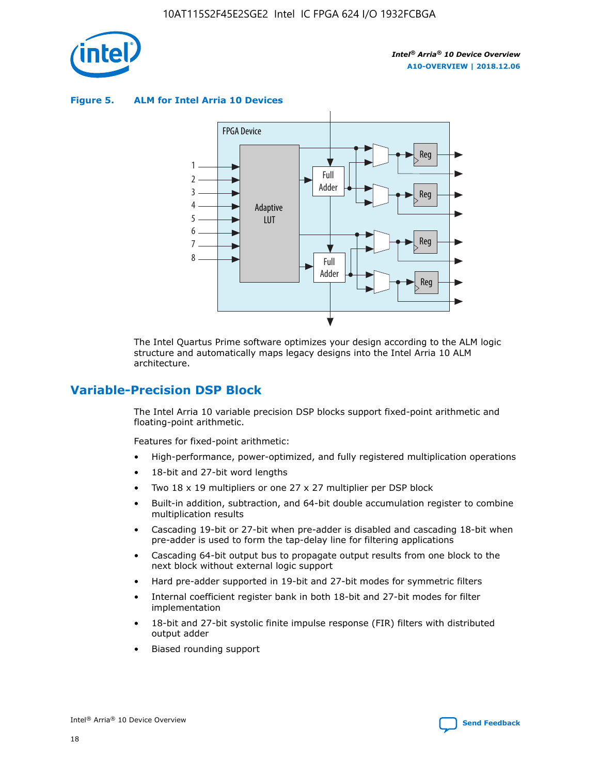

**Figure 5. ALM for Intel Arria 10 Devices**



The Intel Quartus Prime software optimizes your design according to the ALM logic structure and automatically maps legacy designs into the Intel Arria 10 ALM architecture.

# **Variable-Precision DSP Block**

The Intel Arria 10 variable precision DSP blocks support fixed-point arithmetic and floating-point arithmetic.

Features for fixed-point arithmetic:

- High-performance, power-optimized, and fully registered multiplication operations
- 18-bit and 27-bit word lengths
- Two 18 x 19 multipliers or one 27 x 27 multiplier per DSP block
- Built-in addition, subtraction, and 64-bit double accumulation register to combine multiplication results
- Cascading 19-bit or 27-bit when pre-adder is disabled and cascading 18-bit when pre-adder is used to form the tap-delay line for filtering applications
- Cascading 64-bit output bus to propagate output results from one block to the next block without external logic support
- Hard pre-adder supported in 19-bit and 27-bit modes for symmetric filters
- Internal coefficient register bank in both 18-bit and 27-bit modes for filter implementation
- 18-bit and 27-bit systolic finite impulse response (FIR) filters with distributed output adder
- Biased rounding support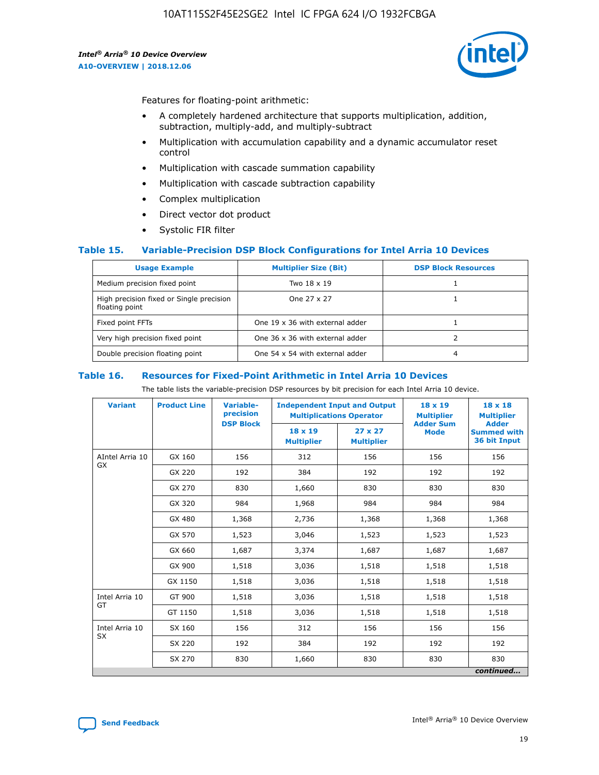

Features for floating-point arithmetic:

- A completely hardened architecture that supports multiplication, addition, subtraction, multiply-add, and multiply-subtract
- Multiplication with accumulation capability and a dynamic accumulator reset control
- Multiplication with cascade summation capability
- Multiplication with cascade subtraction capability
- Complex multiplication
- Direct vector dot product
- Systolic FIR filter

## **Table 15. Variable-Precision DSP Block Configurations for Intel Arria 10 Devices**

| <b>Usage Example</b>                                       | <b>Multiplier Size (Bit)</b>    | <b>DSP Block Resources</b> |
|------------------------------------------------------------|---------------------------------|----------------------------|
| Medium precision fixed point                               | Two 18 x 19                     |                            |
| High precision fixed or Single precision<br>floating point | One 27 x 27                     |                            |
| Fixed point FFTs                                           | One 19 x 36 with external adder |                            |
| Very high precision fixed point                            | One 36 x 36 with external adder |                            |
| Double precision floating point                            | One 54 x 54 with external adder | 4                          |

#### **Table 16. Resources for Fixed-Point Arithmetic in Intel Arria 10 Devices**

The table lists the variable-precision DSP resources by bit precision for each Intel Arria 10 device.

| <b>Variant</b>        | <b>Product Line</b> | Variable-<br>precision<br><b>DSP Block</b> | <b>Independent Input and Output</b><br><b>Multiplications Operator</b>             |       | 18 x 19<br><b>Multiplier</b><br><b>Adder Sum</b> | $18 \times 18$<br><b>Multiplier</b><br><b>Adder</b> |
|-----------------------|---------------------|--------------------------------------------|------------------------------------------------------------------------------------|-------|--------------------------------------------------|-----------------------------------------------------|
|                       |                     |                                            | 18 x 19<br>$27 \times 27$<br><b>Mode</b><br><b>Multiplier</b><br><b>Multiplier</b> |       |                                                  | <b>Summed with</b><br>36 bit Input                  |
| AIntel Arria 10<br>GX | GX 160              | 156                                        | 312                                                                                | 156   | 156                                              | 156                                                 |
|                       | GX 220              | 192                                        | 384                                                                                | 192   | 192                                              | 192                                                 |
|                       | GX 270              | 830                                        | 1,660                                                                              | 830   | 830                                              | 830                                                 |
|                       | GX 320              | 984                                        | 1,968                                                                              | 984   | 984                                              | 984                                                 |
|                       | GX 480              | 1,368                                      | 2,736                                                                              | 1,368 | 1,368                                            | 1,368                                               |
|                       | GX 570              | 1,523                                      | 3,046                                                                              | 1,523 | 1,523                                            | 1,523                                               |
|                       | GX 660              | 1,687                                      | 3,374                                                                              | 1,687 | 1,687                                            | 1,687                                               |
|                       | GX 900              | 1,518                                      | 3,036                                                                              | 1,518 | 1,518                                            | 1,518                                               |
|                       | GX 1150             | 1,518                                      | 3,036                                                                              | 1,518 | 1,518                                            | 1,518                                               |
| Intel Arria 10        | GT 900              | 1,518                                      | 3,036                                                                              | 1,518 | 1,518                                            | 1,518                                               |
| GT                    | GT 1150             | 1,518                                      | 3,036                                                                              | 1,518 | 1,518                                            | 1,518                                               |
| Intel Arria 10        | SX 160              | 156                                        | 312                                                                                | 156   | 156                                              | 156                                                 |
| <b>SX</b>             | SX 220              | 192                                        | 384                                                                                | 192   | 192                                              | 192                                                 |
|                       | SX 270              | 830                                        | 830<br>1,660                                                                       |       | 830                                              | 830                                                 |
|                       |                     |                                            |                                                                                    |       |                                                  | continued                                           |

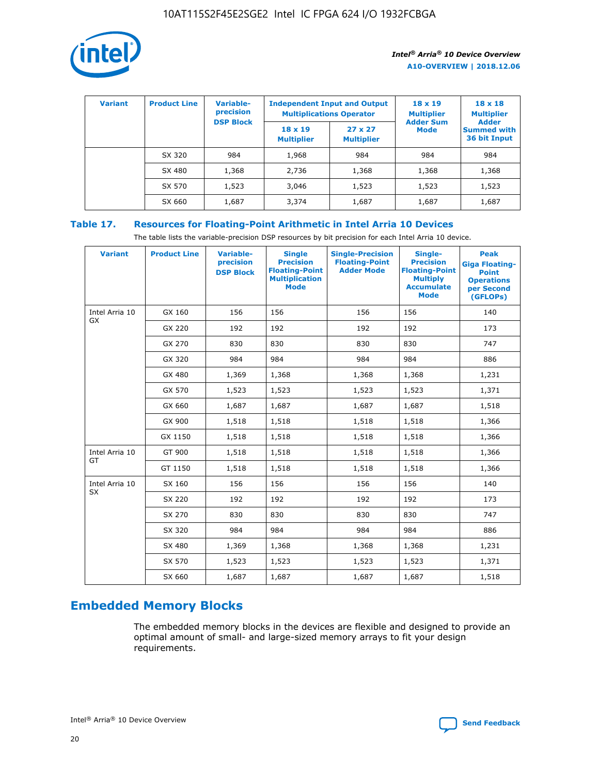

| <b>Variant</b> | <b>Product Line</b> | Variable-<br>precision | <b>Independent Input and Output</b><br><b>Multiplications Operator</b> |                                     | $18 \times 19$<br><b>Multiplier</b> | $18 \times 18$<br><b>Multiplier</b><br><b>Adder</b> |  |
|----------------|---------------------|------------------------|------------------------------------------------------------------------|-------------------------------------|-------------------------------------|-----------------------------------------------------|--|
|                |                     | <b>DSP Block</b>       | $18 \times 19$<br><b>Multiplier</b>                                    | $27 \times 27$<br><b>Multiplier</b> | <b>Adder Sum</b><br><b>Mode</b>     | <b>Summed with</b><br>36 bit Input                  |  |
|                | SX 320              | 984                    | 1,968                                                                  | 984                                 | 984                                 | 984                                                 |  |
|                | SX 480              | 1,368                  | 2,736                                                                  | 1,368                               | 1,368                               | 1,368                                               |  |
|                | SX 570              | 1,523                  | 3,046                                                                  | 1,523                               | 1,523                               | 1,523                                               |  |
|                | SX 660              | 1,687                  | 3,374                                                                  | 1,687                               | 1,687                               | 1,687                                               |  |

# **Table 17. Resources for Floating-Point Arithmetic in Intel Arria 10 Devices**

The table lists the variable-precision DSP resources by bit precision for each Intel Arria 10 device.

| <b>Variant</b> | <b>Product Line</b> | <b>Variable-</b><br>precision<br><b>DSP Block</b> | <b>Single</b><br><b>Precision</b><br><b>Floating-Point</b><br><b>Multiplication</b><br><b>Mode</b> | <b>Single-Precision</b><br><b>Floating-Point</b><br><b>Adder Mode</b> | Single-<br><b>Precision</b><br><b>Floating-Point</b><br><b>Multiply</b><br><b>Accumulate</b><br><b>Mode</b> | <b>Peak</b><br><b>Giga Floating-</b><br><b>Point</b><br><b>Operations</b><br>per Second<br>(GFLOPs) |
|----------------|---------------------|---------------------------------------------------|----------------------------------------------------------------------------------------------------|-----------------------------------------------------------------------|-------------------------------------------------------------------------------------------------------------|-----------------------------------------------------------------------------------------------------|
| Intel Arria 10 | GX 160              | 156                                               | 156                                                                                                | 156                                                                   | 156                                                                                                         | 140                                                                                                 |
| GX             | GX 220              | 192                                               | 192                                                                                                | 192                                                                   | 192                                                                                                         | 173                                                                                                 |
|                | GX 270              | 830                                               | 830                                                                                                | 830                                                                   | 830                                                                                                         | 747                                                                                                 |
|                | GX 320              | 984                                               | 984                                                                                                | 984                                                                   | 984                                                                                                         | 886                                                                                                 |
|                | GX 480              | 1,369                                             | 1,368                                                                                              | 1,368                                                                 | 1,368                                                                                                       | 1,231                                                                                               |
|                | GX 570              | 1,523                                             | 1,523                                                                                              | 1,523                                                                 | 1,523                                                                                                       | 1,371                                                                                               |
|                | GX 660              | 1,687                                             | 1,687                                                                                              | 1,687                                                                 | 1,687                                                                                                       | 1,518                                                                                               |
|                | GX 900              | 1,518                                             | 1,518                                                                                              | 1,518                                                                 | 1,518                                                                                                       | 1,366                                                                                               |
|                | GX 1150             | 1,518                                             | 1,518                                                                                              | 1,518                                                                 | 1,518                                                                                                       | 1,366                                                                                               |
| Intel Arria 10 | GT 900              | 1,518                                             | 1,518                                                                                              | 1,518                                                                 | 1,518                                                                                                       | 1,366                                                                                               |
| GT             | GT 1150             | 1,518                                             | 1,518                                                                                              | 1,518                                                                 | 1,518                                                                                                       | 1,366                                                                                               |
| Intel Arria 10 | SX 160              | 156                                               | 156                                                                                                | 156                                                                   | 156                                                                                                         | 140                                                                                                 |
| <b>SX</b>      | SX 220              | 192                                               | 192                                                                                                | 192                                                                   | 192                                                                                                         | 173                                                                                                 |
|                | SX 270              | 830                                               | 830                                                                                                | 830                                                                   | 830                                                                                                         | 747                                                                                                 |
|                | SX 320              | 984                                               | 984                                                                                                | 984                                                                   | 984                                                                                                         | 886                                                                                                 |
|                | SX 480              | 1,369                                             | 1,368                                                                                              | 1,368                                                                 | 1,368                                                                                                       | 1,231                                                                                               |
|                | SX 570              | 1,523                                             | 1,523                                                                                              | 1,523                                                                 | 1,523                                                                                                       | 1,371                                                                                               |
|                | SX 660              | 1,687                                             | 1,687                                                                                              | 1,687                                                                 | 1,687                                                                                                       | 1,518                                                                                               |

# **Embedded Memory Blocks**

The embedded memory blocks in the devices are flexible and designed to provide an optimal amount of small- and large-sized memory arrays to fit your design requirements.

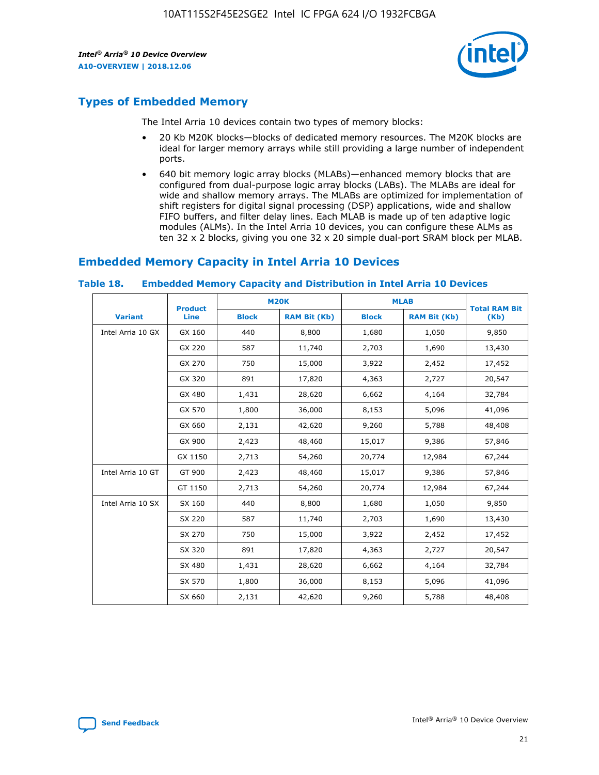

# **Types of Embedded Memory**

The Intel Arria 10 devices contain two types of memory blocks:

- 20 Kb M20K blocks—blocks of dedicated memory resources. The M20K blocks are ideal for larger memory arrays while still providing a large number of independent ports.
- 640 bit memory logic array blocks (MLABs)—enhanced memory blocks that are configured from dual-purpose logic array blocks (LABs). The MLABs are ideal for wide and shallow memory arrays. The MLABs are optimized for implementation of shift registers for digital signal processing (DSP) applications, wide and shallow FIFO buffers, and filter delay lines. Each MLAB is made up of ten adaptive logic modules (ALMs). In the Intel Arria 10 devices, you can configure these ALMs as ten 32 x 2 blocks, giving you one 32 x 20 simple dual-port SRAM block per MLAB.

# **Embedded Memory Capacity in Intel Arria 10 Devices**

|                   | <b>Product</b> |              | <b>M20K</b>         | <b>MLAB</b>  |                     | <b>Total RAM Bit</b> |
|-------------------|----------------|--------------|---------------------|--------------|---------------------|----------------------|
| <b>Variant</b>    | <b>Line</b>    | <b>Block</b> | <b>RAM Bit (Kb)</b> | <b>Block</b> | <b>RAM Bit (Kb)</b> | (Kb)                 |
| Intel Arria 10 GX | GX 160         | 440          | 8,800               | 1,680        | 1,050               | 9,850                |
|                   | GX 220         | 587          | 11,740              | 2,703        | 1,690               | 13,430               |
|                   | GX 270         | 750          | 15,000              | 3,922        | 2,452               | 17,452               |
|                   | GX 320         | 891          | 17,820              | 4,363        | 2,727               | 20,547               |
|                   | GX 480         | 1,431        | 28,620              | 6,662        | 4,164               | 32,784               |
|                   | GX 570         | 1,800        | 36,000              | 8,153        | 5,096               | 41,096               |
|                   | GX 660         | 2,131        | 42,620              | 9,260        | 5,788               | 48,408               |
|                   | GX 900         | 2,423        | 48,460              | 15,017       | 9,386               | 57,846               |
|                   | GX 1150        | 2,713        | 54,260              | 20,774       | 12,984              | 67,244               |
| Intel Arria 10 GT | GT 900         | 2,423        | 48,460              | 15,017       | 9,386               | 57,846               |
|                   | GT 1150        | 2,713        | 54,260              | 20,774       | 12,984              | 67,244               |
| Intel Arria 10 SX | SX 160         | 440          | 8,800               | 1,680        | 1,050               | 9,850                |
|                   | SX 220         | 587          | 11,740              | 2,703        | 1,690               | 13,430               |
|                   | SX 270         | 750          | 15,000              | 3,922        | 2,452               | 17,452               |
|                   | SX 320         | 891          | 17,820              | 4,363        | 2,727               | 20,547               |
|                   | SX 480         | 1,431        | 28,620              | 6,662        | 4,164               | 32,784               |
|                   | SX 570         | 1,800        | 36,000              | 8,153        | 5,096               | 41,096               |
|                   | SX 660         | 2,131        | 42,620              | 9,260        | 5,788               | 48,408               |

#### **Table 18. Embedded Memory Capacity and Distribution in Intel Arria 10 Devices**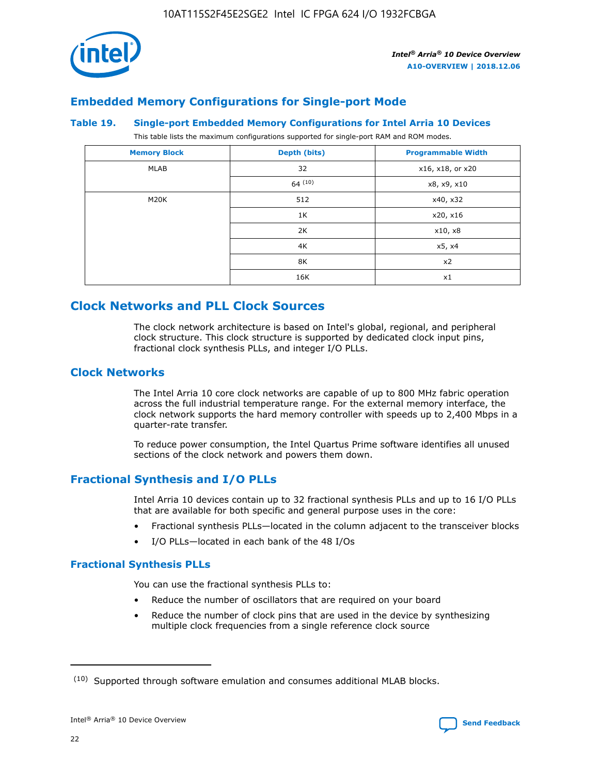

# **Embedded Memory Configurations for Single-port Mode**

#### **Table 19. Single-port Embedded Memory Configurations for Intel Arria 10 Devices**

This table lists the maximum configurations supported for single-port RAM and ROM modes.

| <b>Memory Block</b> | Depth (bits) | <b>Programmable Width</b> |
|---------------------|--------------|---------------------------|
| MLAB                | 32           | x16, x18, or x20          |
|                     | 64(10)       | x8, x9, x10               |
| M20K                | 512          | x40, x32                  |
|                     | 1K           | x20, x16                  |
|                     | 2K           | x10, x8                   |
|                     | 4K           | x5, x4                    |
|                     | 8K           | x2                        |
|                     | 16K          | x1                        |

# **Clock Networks and PLL Clock Sources**

The clock network architecture is based on Intel's global, regional, and peripheral clock structure. This clock structure is supported by dedicated clock input pins, fractional clock synthesis PLLs, and integer I/O PLLs.

# **Clock Networks**

The Intel Arria 10 core clock networks are capable of up to 800 MHz fabric operation across the full industrial temperature range. For the external memory interface, the clock network supports the hard memory controller with speeds up to 2,400 Mbps in a quarter-rate transfer.

To reduce power consumption, the Intel Quartus Prime software identifies all unused sections of the clock network and powers them down.

# **Fractional Synthesis and I/O PLLs**

Intel Arria 10 devices contain up to 32 fractional synthesis PLLs and up to 16 I/O PLLs that are available for both specific and general purpose uses in the core:

- Fractional synthesis PLLs—located in the column adjacent to the transceiver blocks
- I/O PLLs—located in each bank of the 48 I/Os

## **Fractional Synthesis PLLs**

You can use the fractional synthesis PLLs to:

- Reduce the number of oscillators that are required on your board
- Reduce the number of clock pins that are used in the device by synthesizing multiple clock frequencies from a single reference clock source

<sup>(10)</sup> Supported through software emulation and consumes additional MLAB blocks.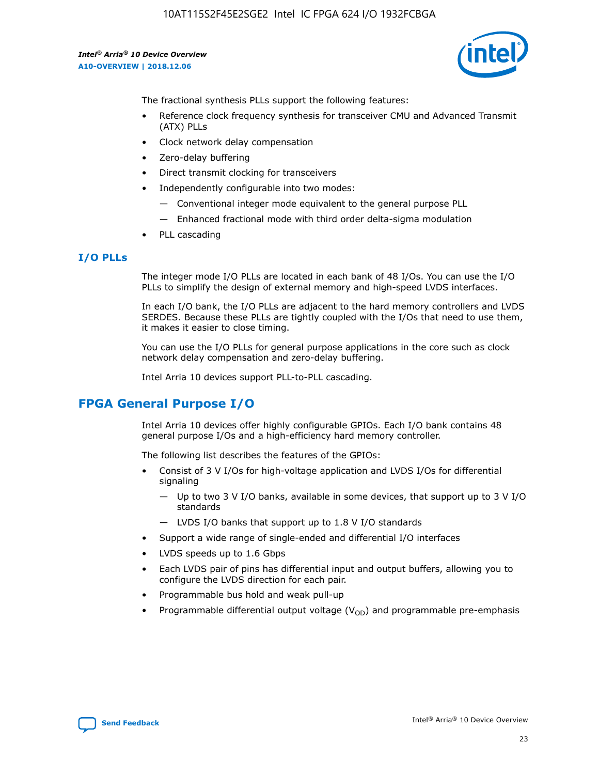

The fractional synthesis PLLs support the following features:

- Reference clock frequency synthesis for transceiver CMU and Advanced Transmit (ATX) PLLs
- Clock network delay compensation
- Zero-delay buffering
- Direct transmit clocking for transceivers
- Independently configurable into two modes:
	- Conventional integer mode equivalent to the general purpose PLL
	- Enhanced fractional mode with third order delta-sigma modulation
- PLL cascading

# **I/O PLLs**

The integer mode I/O PLLs are located in each bank of 48 I/Os. You can use the I/O PLLs to simplify the design of external memory and high-speed LVDS interfaces.

In each I/O bank, the I/O PLLs are adjacent to the hard memory controllers and LVDS SERDES. Because these PLLs are tightly coupled with the I/Os that need to use them, it makes it easier to close timing.

You can use the I/O PLLs for general purpose applications in the core such as clock network delay compensation and zero-delay buffering.

Intel Arria 10 devices support PLL-to-PLL cascading.

# **FPGA General Purpose I/O**

Intel Arria 10 devices offer highly configurable GPIOs. Each I/O bank contains 48 general purpose I/Os and a high-efficiency hard memory controller.

The following list describes the features of the GPIOs:

- Consist of 3 V I/Os for high-voltage application and LVDS I/Os for differential signaling
	- Up to two 3 V I/O banks, available in some devices, that support up to 3 V I/O standards
	- LVDS I/O banks that support up to 1.8 V I/O standards
- Support a wide range of single-ended and differential I/O interfaces
- LVDS speeds up to 1.6 Gbps
- Each LVDS pair of pins has differential input and output buffers, allowing you to configure the LVDS direction for each pair.
- Programmable bus hold and weak pull-up
- Programmable differential output voltage  $(V_{OD})$  and programmable pre-emphasis

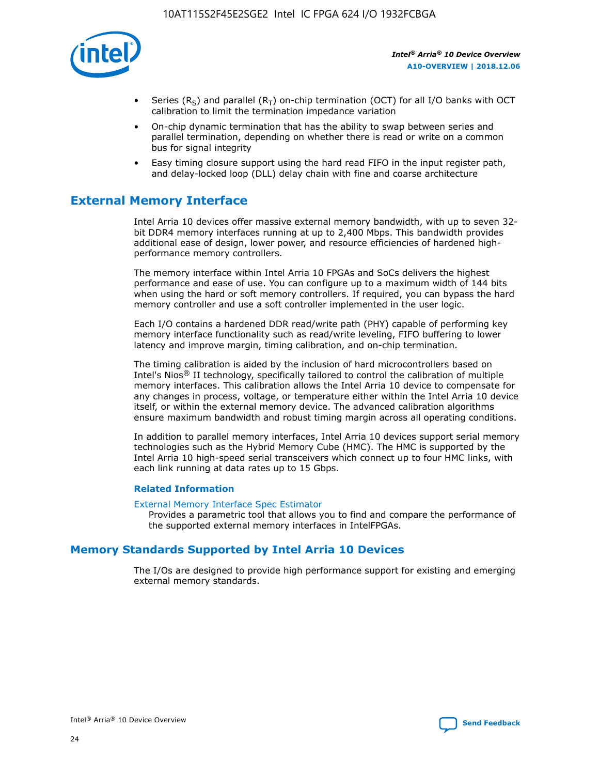

- Series (R<sub>S</sub>) and parallel (R<sub>T</sub>) on-chip termination (OCT) for all I/O banks with OCT calibration to limit the termination impedance variation
- On-chip dynamic termination that has the ability to swap between series and parallel termination, depending on whether there is read or write on a common bus for signal integrity
- Easy timing closure support using the hard read FIFO in the input register path, and delay-locked loop (DLL) delay chain with fine and coarse architecture

# **External Memory Interface**

Intel Arria 10 devices offer massive external memory bandwidth, with up to seven 32 bit DDR4 memory interfaces running at up to 2,400 Mbps. This bandwidth provides additional ease of design, lower power, and resource efficiencies of hardened highperformance memory controllers.

The memory interface within Intel Arria 10 FPGAs and SoCs delivers the highest performance and ease of use. You can configure up to a maximum width of 144 bits when using the hard or soft memory controllers. If required, you can bypass the hard memory controller and use a soft controller implemented in the user logic.

Each I/O contains a hardened DDR read/write path (PHY) capable of performing key memory interface functionality such as read/write leveling, FIFO buffering to lower latency and improve margin, timing calibration, and on-chip termination.

The timing calibration is aided by the inclusion of hard microcontrollers based on Intel's Nios® II technology, specifically tailored to control the calibration of multiple memory interfaces. This calibration allows the Intel Arria 10 device to compensate for any changes in process, voltage, or temperature either within the Intel Arria 10 device itself, or within the external memory device. The advanced calibration algorithms ensure maximum bandwidth and robust timing margin across all operating conditions.

In addition to parallel memory interfaces, Intel Arria 10 devices support serial memory technologies such as the Hybrid Memory Cube (HMC). The HMC is supported by the Intel Arria 10 high-speed serial transceivers which connect up to four HMC links, with each link running at data rates up to 15 Gbps.

## **Related Information**

#### [External Memory Interface Spec Estimator](http://www.altera.com/technology/memory/estimator/mem-emif-index.html)

Provides a parametric tool that allows you to find and compare the performance of the supported external memory interfaces in IntelFPGAs.

# **Memory Standards Supported by Intel Arria 10 Devices**

The I/Os are designed to provide high performance support for existing and emerging external memory standards.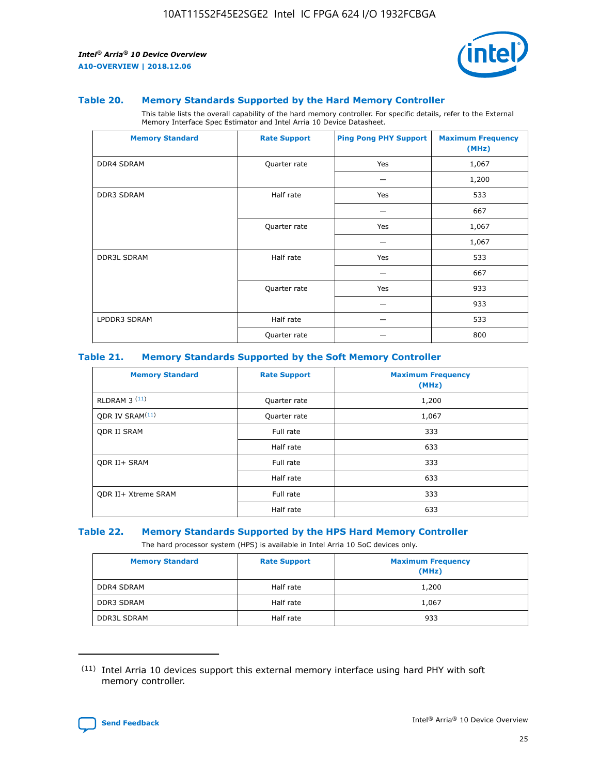

#### **Table 20. Memory Standards Supported by the Hard Memory Controller**

This table lists the overall capability of the hard memory controller. For specific details, refer to the External Memory Interface Spec Estimator and Intel Arria 10 Device Datasheet.

| <b>Memory Standard</b> | <b>Rate Support</b> | <b>Ping Pong PHY Support</b> | <b>Maximum Frequency</b><br>(MHz) |
|------------------------|---------------------|------------------------------|-----------------------------------|
| <b>DDR4 SDRAM</b>      | Quarter rate        | Yes                          | 1,067                             |
|                        |                     |                              | 1,200                             |
| DDR3 SDRAM             | Half rate           | Yes                          | 533                               |
|                        |                     |                              | 667                               |
|                        | Quarter rate        | Yes                          | 1,067                             |
|                        |                     |                              | 1,067                             |
| <b>DDR3L SDRAM</b>     | Half rate           | Yes                          | 533                               |
|                        |                     |                              | 667                               |
|                        | Quarter rate        | Yes                          | 933                               |
|                        |                     |                              | 933                               |
| LPDDR3 SDRAM           | Half rate           |                              | 533                               |
|                        | Quarter rate        |                              | 800                               |

## **Table 21. Memory Standards Supported by the Soft Memory Controller**

| <b>Memory Standard</b>      | <b>Rate Support</b> | <b>Maximum Frequency</b><br>(MHz) |
|-----------------------------|---------------------|-----------------------------------|
| <b>RLDRAM 3 (11)</b>        | Quarter rate        | 1,200                             |
| ODR IV SRAM <sup>(11)</sup> | Quarter rate        | 1,067                             |
| <b>ODR II SRAM</b>          | Full rate           | 333                               |
|                             | Half rate           | 633                               |
| <b>ODR II+ SRAM</b>         | Full rate           | 333                               |
|                             | Half rate           | 633                               |
| <b>ODR II+ Xtreme SRAM</b>  | Full rate           | 333                               |
|                             | Half rate           | 633                               |

#### **Table 22. Memory Standards Supported by the HPS Hard Memory Controller**

The hard processor system (HPS) is available in Intel Arria 10 SoC devices only.

| <b>Memory Standard</b> | <b>Rate Support</b> | <b>Maximum Frequency</b><br>(MHz) |
|------------------------|---------------------|-----------------------------------|
| <b>DDR4 SDRAM</b>      | Half rate           | 1,200                             |
| <b>DDR3 SDRAM</b>      | Half rate           | 1,067                             |
| <b>DDR3L SDRAM</b>     | Half rate           | 933                               |

<sup>(11)</sup> Intel Arria 10 devices support this external memory interface using hard PHY with soft memory controller.

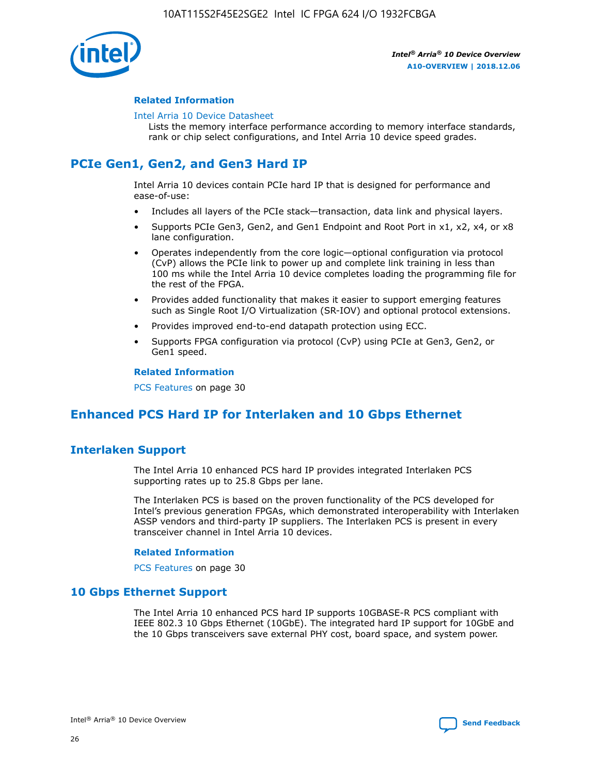

## **Related Information**

#### [Intel Arria 10 Device Datasheet](https://www.intel.com/content/www/us/en/programmable/documentation/mcn1413182292568.html#mcn1413182153340)

Lists the memory interface performance according to memory interface standards, rank or chip select configurations, and Intel Arria 10 device speed grades.

# **PCIe Gen1, Gen2, and Gen3 Hard IP**

Intel Arria 10 devices contain PCIe hard IP that is designed for performance and ease-of-use:

- Includes all layers of the PCIe stack—transaction, data link and physical layers.
- Supports PCIe Gen3, Gen2, and Gen1 Endpoint and Root Port in x1, x2, x4, or x8 lane configuration.
- Operates independently from the core logic—optional configuration via protocol (CvP) allows the PCIe link to power up and complete link training in less than 100 ms while the Intel Arria 10 device completes loading the programming file for the rest of the FPGA.
- Provides added functionality that makes it easier to support emerging features such as Single Root I/O Virtualization (SR-IOV) and optional protocol extensions.
- Provides improved end-to-end datapath protection using ECC.
- Supports FPGA configuration via protocol (CvP) using PCIe at Gen3, Gen2, or Gen1 speed.

#### **Related Information**

PCS Features on page 30

# **Enhanced PCS Hard IP for Interlaken and 10 Gbps Ethernet**

# **Interlaken Support**

The Intel Arria 10 enhanced PCS hard IP provides integrated Interlaken PCS supporting rates up to 25.8 Gbps per lane.

The Interlaken PCS is based on the proven functionality of the PCS developed for Intel's previous generation FPGAs, which demonstrated interoperability with Interlaken ASSP vendors and third-party IP suppliers. The Interlaken PCS is present in every transceiver channel in Intel Arria 10 devices.

## **Related Information**

PCS Features on page 30

# **10 Gbps Ethernet Support**

The Intel Arria 10 enhanced PCS hard IP supports 10GBASE-R PCS compliant with IEEE 802.3 10 Gbps Ethernet (10GbE). The integrated hard IP support for 10GbE and the 10 Gbps transceivers save external PHY cost, board space, and system power.

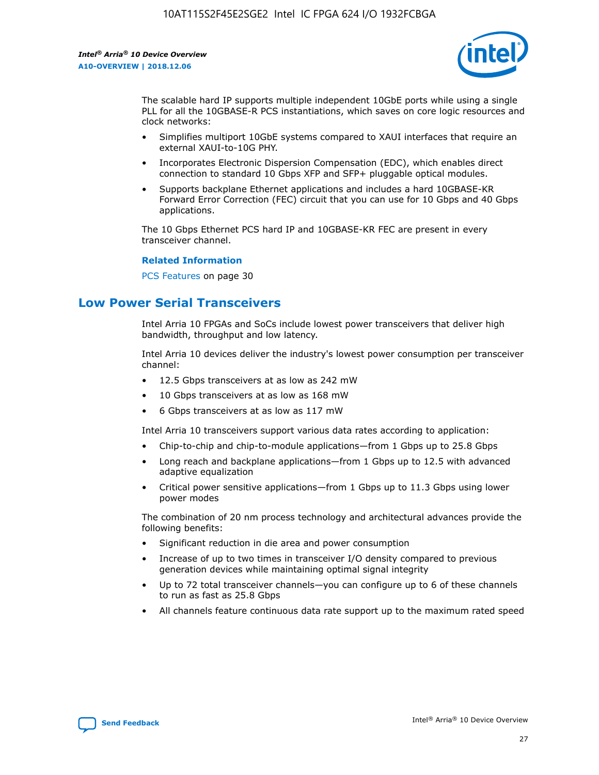

The scalable hard IP supports multiple independent 10GbE ports while using a single PLL for all the 10GBASE-R PCS instantiations, which saves on core logic resources and clock networks:

- Simplifies multiport 10GbE systems compared to XAUI interfaces that require an external XAUI-to-10G PHY.
- Incorporates Electronic Dispersion Compensation (EDC), which enables direct connection to standard 10 Gbps XFP and SFP+ pluggable optical modules.
- Supports backplane Ethernet applications and includes a hard 10GBASE-KR Forward Error Correction (FEC) circuit that you can use for 10 Gbps and 40 Gbps applications.

The 10 Gbps Ethernet PCS hard IP and 10GBASE-KR FEC are present in every transceiver channel.

#### **Related Information**

PCS Features on page 30

# **Low Power Serial Transceivers**

Intel Arria 10 FPGAs and SoCs include lowest power transceivers that deliver high bandwidth, throughput and low latency.

Intel Arria 10 devices deliver the industry's lowest power consumption per transceiver channel:

- 12.5 Gbps transceivers at as low as 242 mW
- 10 Gbps transceivers at as low as 168 mW
- 6 Gbps transceivers at as low as 117 mW

Intel Arria 10 transceivers support various data rates according to application:

- Chip-to-chip and chip-to-module applications—from 1 Gbps up to 25.8 Gbps
- Long reach and backplane applications—from 1 Gbps up to 12.5 with advanced adaptive equalization
- Critical power sensitive applications—from 1 Gbps up to 11.3 Gbps using lower power modes

The combination of 20 nm process technology and architectural advances provide the following benefits:

- Significant reduction in die area and power consumption
- Increase of up to two times in transceiver I/O density compared to previous generation devices while maintaining optimal signal integrity
- Up to 72 total transceiver channels—you can configure up to 6 of these channels to run as fast as 25.8 Gbps
- All channels feature continuous data rate support up to the maximum rated speed

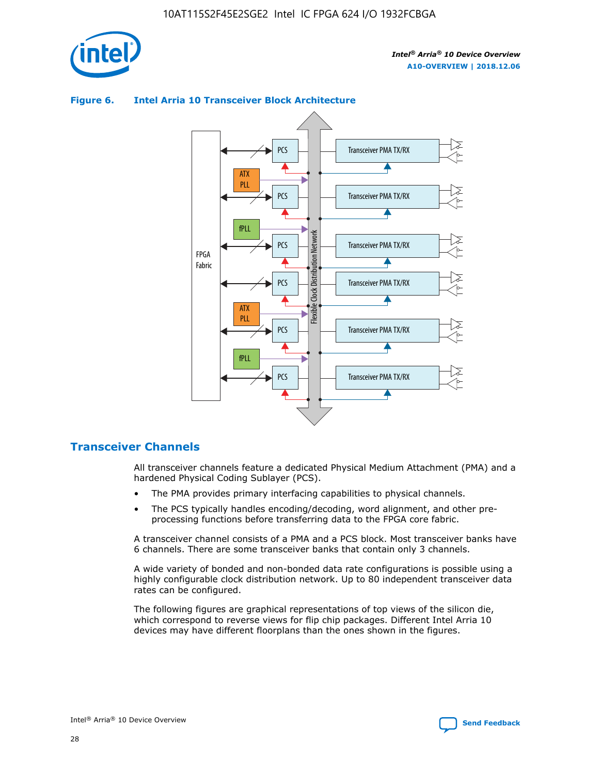



## **Figure 6. Intel Arria 10 Transceiver Block Architecture**

# **Transceiver Channels**

All transceiver channels feature a dedicated Physical Medium Attachment (PMA) and a hardened Physical Coding Sublayer (PCS).

- The PMA provides primary interfacing capabilities to physical channels.
- The PCS typically handles encoding/decoding, word alignment, and other preprocessing functions before transferring data to the FPGA core fabric.

A transceiver channel consists of a PMA and a PCS block. Most transceiver banks have 6 channels. There are some transceiver banks that contain only 3 channels.

A wide variety of bonded and non-bonded data rate configurations is possible using a highly configurable clock distribution network. Up to 80 independent transceiver data rates can be configured.

The following figures are graphical representations of top views of the silicon die, which correspond to reverse views for flip chip packages. Different Intel Arria 10 devices may have different floorplans than the ones shown in the figures.

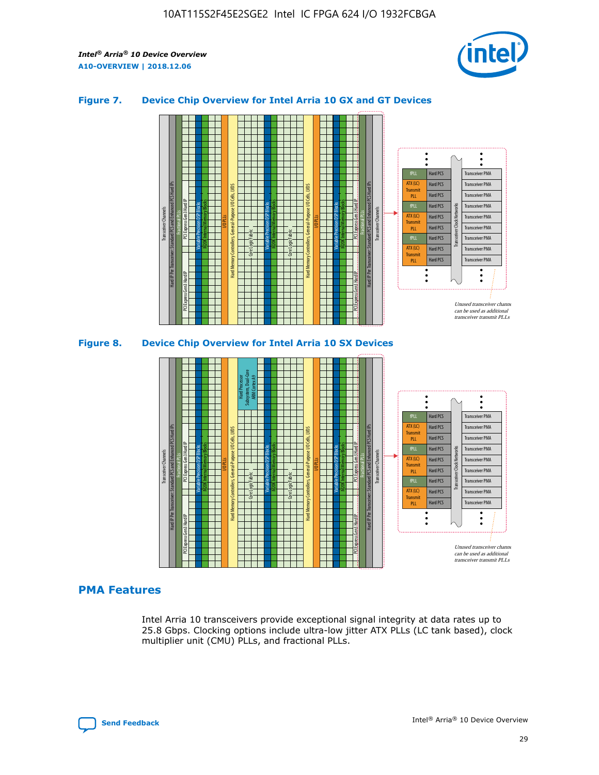

## **Figure 7. Device Chip Overview for Intel Arria 10 GX and GT Devices**





## **PMA Features**

Intel Arria 10 transceivers provide exceptional signal integrity at data rates up to 25.8 Gbps. Clocking options include ultra-low jitter ATX PLLs (LC tank based), clock multiplier unit (CMU) PLLs, and fractional PLLs.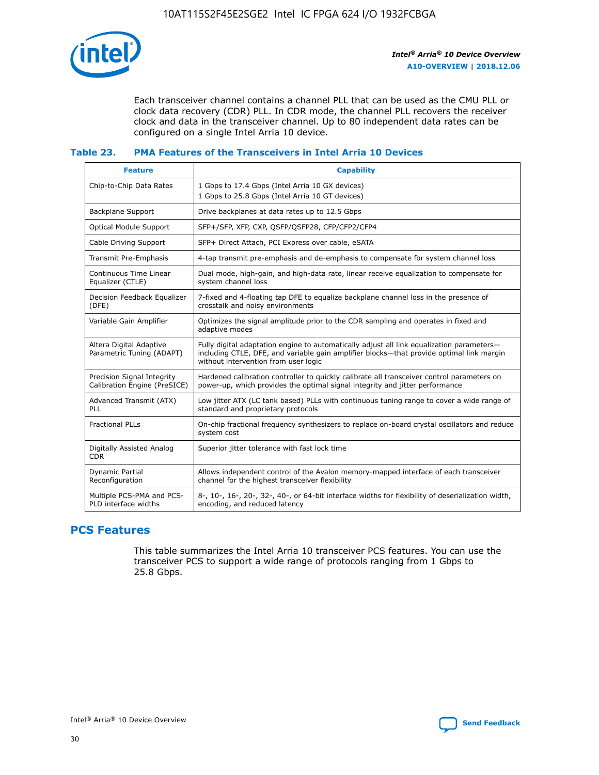

Each transceiver channel contains a channel PLL that can be used as the CMU PLL or clock data recovery (CDR) PLL. In CDR mode, the channel PLL recovers the receiver clock and data in the transceiver channel. Up to 80 independent data rates can be configured on a single Intel Arria 10 device.

## **Table 23. PMA Features of the Transceivers in Intel Arria 10 Devices**

| <b>Feature</b>                                             | <b>Capability</b>                                                                                                                                                                                                             |
|------------------------------------------------------------|-------------------------------------------------------------------------------------------------------------------------------------------------------------------------------------------------------------------------------|
| Chip-to-Chip Data Rates                                    | 1 Gbps to 17.4 Gbps (Intel Arria 10 GX devices)<br>1 Gbps to 25.8 Gbps (Intel Arria 10 GT devices)                                                                                                                            |
| Backplane Support                                          | Drive backplanes at data rates up to 12.5 Gbps                                                                                                                                                                                |
| <b>Optical Module Support</b>                              | SFP+/SFP, XFP, CXP, QSFP/QSFP28, CFP/CFP2/CFP4                                                                                                                                                                                |
| Cable Driving Support                                      | SFP+ Direct Attach, PCI Express over cable, eSATA                                                                                                                                                                             |
| Transmit Pre-Emphasis                                      | 4-tap transmit pre-emphasis and de-emphasis to compensate for system channel loss                                                                                                                                             |
| Continuous Time Linear<br>Equalizer (CTLE)                 | Dual mode, high-gain, and high-data rate, linear receive equalization to compensate for<br>system channel loss                                                                                                                |
| Decision Feedback Equalizer<br>(DFE)                       | 7-fixed and 4-floating tap DFE to equalize backplane channel loss in the presence of<br>crosstalk and noisy environments                                                                                                      |
| Variable Gain Amplifier                                    | Optimizes the signal amplitude prior to the CDR sampling and operates in fixed and<br>adaptive modes                                                                                                                          |
| Altera Digital Adaptive<br>Parametric Tuning (ADAPT)       | Fully digital adaptation engine to automatically adjust all link equalization parameters-<br>including CTLE, DFE, and variable gain amplifier blocks—that provide optimal link margin<br>without intervention from user logic |
| Precision Signal Integrity<br>Calibration Engine (PreSICE) | Hardened calibration controller to quickly calibrate all transceiver control parameters on<br>power-up, which provides the optimal signal integrity and jitter performance                                                    |
| Advanced Transmit (ATX)<br><b>PLL</b>                      | Low jitter ATX (LC tank based) PLLs with continuous tuning range to cover a wide range of<br>standard and proprietary protocols                                                                                               |
| <b>Fractional PLLs</b>                                     | On-chip fractional frequency synthesizers to replace on-board crystal oscillators and reduce<br>system cost                                                                                                                   |
| Digitally Assisted Analog<br><b>CDR</b>                    | Superior jitter tolerance with fast lock time                                                                                                                                                                                 |
| Dynamic Partial<br>Reconfiguration                         | Allows independent control of the Avalon memory-mapped interface of each transceiver<br>channel for the highest transceiver flexibility                                                                                       |
| Multiple PCS-PMA and PCS-<br>PLD interface widths          | 8-, 10-, 16-, 20-, 32-, 40-, or 64-bit interface widths for flexibility of deserialization width,<br>encoding, and reduced latency                                                                                            |

# **PCS Features**

This table summarizes the Intel Arria 10 transceiver PCS features. You can use the transceiver PCS to support a wide range of protocols ranging from 1 Gbps to 25.8 Gbps.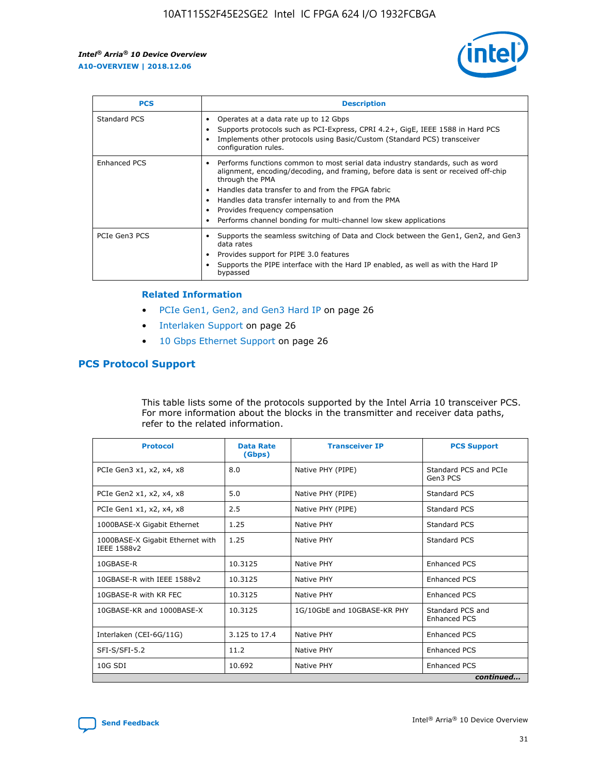

| <b>PCS</b>    | <b>Description</b>                                                                                                                                                                                                                                                                                                                                                                                             |
|---------------|----------------------------------------------------------------------------------------------------------------------------------------------------------------------------------------------------------------------------------------------------------------------------------------------------------------------------------------------------------------------------------------------------------------|
| Standard PCS  | Operates at a data rate up to 12 Gbps<br>Supports protocols such as PCI-Express, CPRI 4.2+, GigE, IEEE 1588 in Hard PCS<br>Implements other protocols using Basic/Custom (Standard PCS) transceiver<br>configuration rules.                                                                                                                                                                                    |
| Enhanced PCS  | Performs functions common to most serial data industry standards, such as word<br>alignment, encoding/decoding, and framing, before data is sent or received off-chip<br>through the PMA<br>• Handles data transfer to and from the FPGA fabric<br>Handles data transfer internally to and from the PMA<br>Provides frequency compensation<br>Performs channel bonding for multi-channel low skew applications |
| PCIe Gen3 PCS | Supports the seamless switching of Data and Clock between the Gen1, Gen2, and Gen3<br>data rates<br>Provides support for PIPE 3.0 features<br>Supports the PIPE interface with the Hard IP enabled, as well as with the Hard IP<br>bypassed                                                                                                                                                                    |

#### **Related Information**

- PCIe Gen1, Gen2, and Gen3 Hard IP on page 26
- Interlaken Support on page 26
- 10 Gbps Ethernet Support on page 26

# **PCS Protocol Support**

This table lists some of the protocols supported by the Intel Arria 10 transceiver PCS. For more information about the blocks in the transmitter and receiver data paths, refer to the related information.

| <b>Protocol</b>                                 | <b>Data Rate</b><br>(Gbps) | <b>Transceiver IP</b>       | <b>PCS Support</b>                      |
|-------------------------------------------------|----------------------------|-----------------------------|-----------------------------------------|
| PCIe Gen3 x1, x2, x4, x8                        | 8.0                        | Native PHY (PIPE)           | Standard PCS and PCIe<br>Gen3 PCS       |
| PCIe Gen2 x1, x2, x4, x8                        | 5.0                        | Native PHY (PIPE)           | <b>Standard PCS</b>                     |
| PCIe Gen1 x1, x2, x4, x8                        | 2.5                        | Native PHY (PIPE)           | Standard PCS                            |
| 1000BASE-X Gigabit Ethernet                     | 1.25                       | Native PHY                  | <b>Standard PCS</b>                     |
| 1000BASE-X Gigabit Ethernet with<br>IEEE 1588v2 | 1.25                       | Native PHY                  | Standard PCS                            |
| 10GBASE-R                                       | 10.3125                    | Native PHY                  | <b>Enhanced PCS</b>                     |
| 10GBASE-R with IEEE 1588v2                      | 10.3125                    | Native PHY                  | <b>Enhanced PCS</b>                     |
| 10GBASE-R with KR FEC                           | 10.3125                    | Native PHY                  | <b>Enhanced PCS</b>                     |
| 10GBASE-KR and 1000BASE-X                       | 10.3125                    | 1G/10GbE and 10GBASE-KR PHY | Standard PCS and<br><b>Enhanced PCS</b> |
| Interlaken (CEI-6G/11G)                         | 3.125 to 17.4              | Native PHY                  | <b>Enhanced PCS</b>                     |
| SFI-S/SFI-5.2                                   | 11.2                       | Native PHY                  | <b>Enhanced PCS</b>                     |
| $10G$ SDI                                       | 10.692                     | Native PHY                  | <b>Enhanced PCS</b>                     |
|                                                 |                            |                             | continued                               |

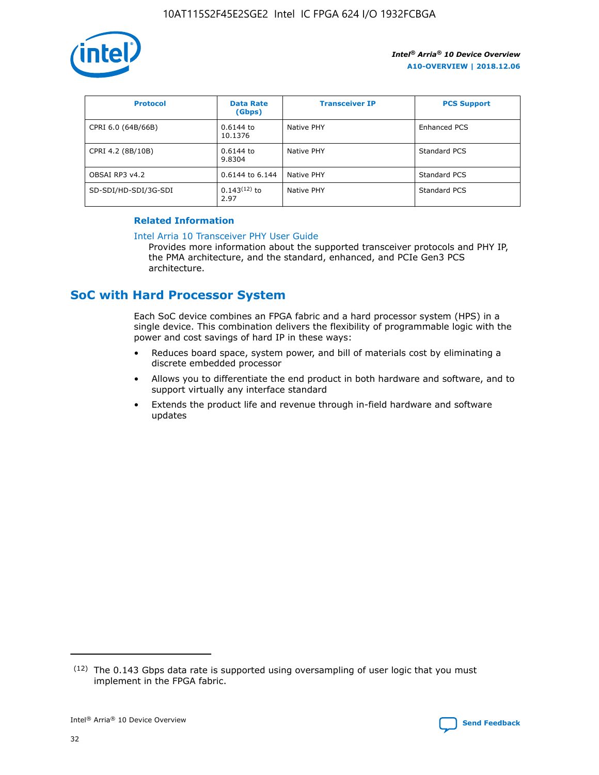

| <b>Protocol</b>      | <b>Data Rate</b><br>(Gbps) | <b>Transceiver IP</b> | <b>PCS Support</b> |
|----------------------|----------------------------|-----------------------|--------------------|
| CPRI 6.0 (64B/66B)   | 0.6144 to<br>10.1376       | Native PHY            | Enhanced PCS       |
| CPRI 4.2 (8B/10B)    | $0.6144$ to<br>9.8304      | Native PHY            | Standard PCS       |
| OBSAI RP3 v4.2       | 0.6144 to 6.144            | Native PHY            | Standard PCS       |
| SD-SDI/HD-SDI/3G-SDI | $0.143(12)$ to<br>2.97     | Native PHY            | Standard PCS       |

# **Related Information**

#### [Intel Arria 10 Transceiver PHY User Guide](https://www.intel.com/content/www/us/en/programmable/documentation/nik1398707230472.html#nik1398707091164)

Provides more information about the supported transceiver protocols and PHY IP, the PMA architecture, and the standard, enhanced, and PCIe Gen3 PCS architecture.

# **SoC with Hard Processor System**

Each SoC device combines an FPGA fabric and a hard processor system (HPS) in a single device. This combination delivers the flexibility of programmable logic with the power and cost savings of hard IP in these ways:

- Reduces board space, system power, and bill of materials cost by eliminating a discrete embedded processor
- Allows you to differentiate the end product in both hardware and software, and to support virtually any interface standard
- Extends the product life and revenue through in-field hardware and software updates

 $(12)$  The 0.143 Gbps data rate is supported using oversampling of user logic that you must implement in the FPGA fabric.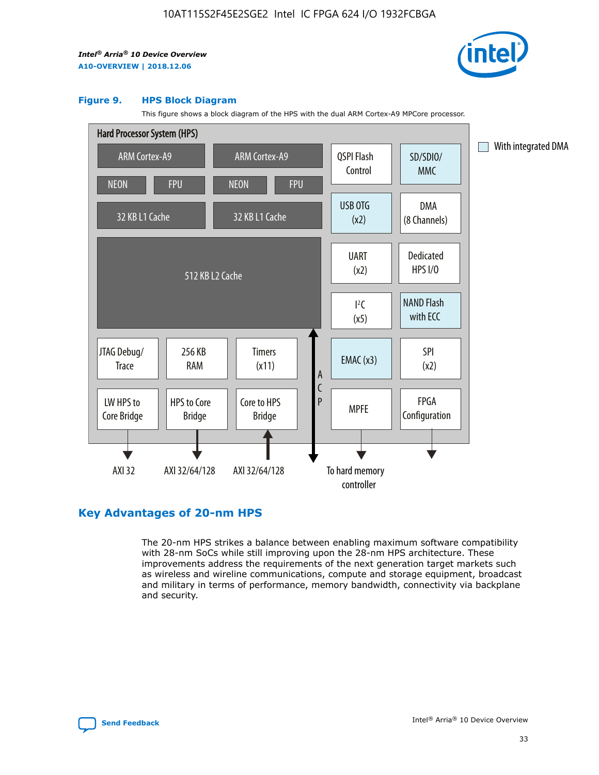

#### **Figure 9. HPS Block Diagram**

This figure shows a block diagram of the HPS with the dual ARM Cortex-A9 MPCore processor.



# **Key Advantages of 20-nm HPS**

The 20-nm HPS strikes a balance between enabling maximum software compatibility with 28-nm SoCs while still improving upon the 28-nm HPS architecture. These improvements address the requirements of the next generation target markets such as wireless and wireline communications, compute and storage equipment, broadcast and military in terms of performance, memory bandwidth, connectivity via backplane and security.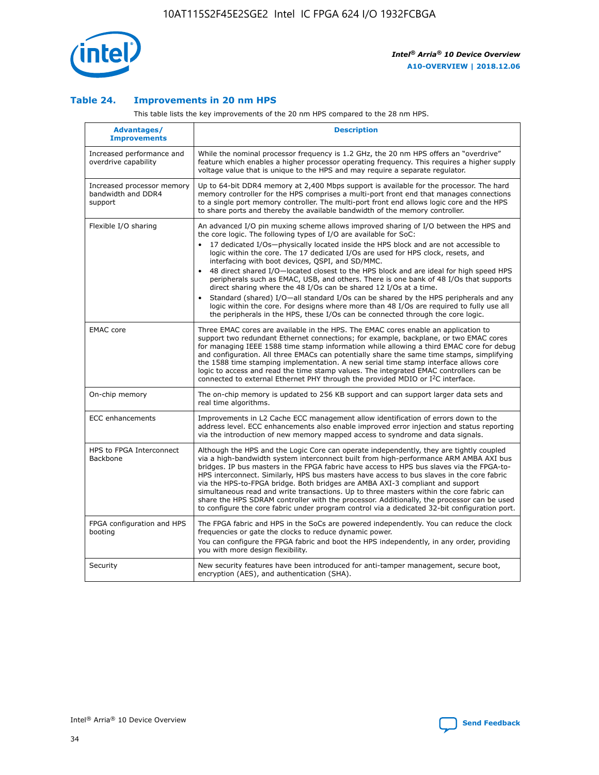

## **Table 24. Improvements in 20 nm HPS**

This table lists the key improvements of the 20 nm HPS compared to the 28 nm HPS.

| Advantages/<br><b>Improvements</b>                          | <b>Description</b>                                                                                                                                                                                                                                                                                                                                                                                                                                                                                                                                                                                                                                                                                                                                                                                                                                                                                                                   |
|-------------------------------------------------------------|--------------------------------------------------------------------------------------------------------------------------------------------------------------------------------------------------------------------------------------------------------------------------------------------------------------------------------------------------------------------------------------------------------------------------------------------------------------------------------------------------------------------------------------------------------------------------------------------------------------------------------------------------------------------------------------------------------------------------------------------------------------------------------------------------------------------------------------------------------------------------------------------------------------------------------------|
| Increased performance and<br>overdrive capability           | While the nominal processor frequency is 1.2 GHz, the 20 nm HPS offers an "overdrive"<br>feature which enables a higher processor operating frequency. This requires a higher supply<br>voltage value that is unique to the HPS and may require a separate regulator.                                                                                                                                                                                                                                                                                                                                                                                                                                                                                                                                                                                                                                                                |
| Increased processor memory<br>bandwidth and DDR4<br>support | Up to 64-bit DDR4 memory at 2,400 Mbps support is available for the processor. The hard<br>memory controller for the HPS comprises a multi-port front end that manages connections<br>to a single port memory controller. The multi-port front end allows logic core and the HPS<br>to share ports and thereby the available bandwidth of the memory controller.                                                                                                                                                                                                                                                                                                                                                                                                                                                                                                                                                                     |
| Flexible I/O sharing                                        | An advanced I/O pin muxing scheme allows improved sharing of I/O between the HPS and<br>the core logic. The following types of I/O are available for SoC:<br>17 dedicated I/Os-physically located inside the HPS block and are not accessible to<br>logic within the core. The 17 dedicated I/Os are used for HPS clock, resets, and<br>interfacing with boot devices, QSPI, and SD/MMC.<br>48 direct shared I/O-located closest to the HPS block and are ideal for high speed HPS<br>$\bullet$<br>peripherals such as EMAC, USB, and others. There is one bank of 48 I/Os that supports<br>direct sharing where the 48 I/Os can be shared 12 I/Os at a time.<br>Standard (shared) I/O-all standard I/Os can be shared by the HPS peripherals and any<br>logic within the core. For designs where more than 48 I/Os are reguired to fully use all<br>the peripherals in the HPS, these I/Os can be connected through the core logic. |
| <b>EMAC</b> core                                            | Three EMAC cores are available in the HPS. The EMAC cores enable an application to<br>support two redundant Ethernet connections; for example, backplane, or two EMAC cores<br>for managing IEEE 1588 time stamp information while allowing a third EMAC core for debug<br>and configuration. All three EMACs can potentially share the same time stamps, simplifying<br>the 1588 time stamping implementation. A new serial time stamp interface allows core<br>logic to access and read the time stamp values. The integrated EMAC controllers can be<br>connected to external Ethernet PHY through the provided MDIO or I <sup>2</sup> C interface.                                                                                                                                                                                                                                                                               |
| On-chip memory                                              | The on-chip memory is updated to 256 KB support and can support larger data sets and<br>real time algorithms.                                                                                                                                                                                                                                                                                                                                                                                                                                                                                                                                                                                                                                                                                                                                                                                                                        |
| <b>ECC</b> enhancements                                     | Improvements in L2 Cache ECC management allow identification of errors down to the<br>address level. ECC enhancements also enable improved error injection and status reporting<br>via the introduction of new memory mapped access to syndrome and data signals.                                                                                                                                                                                                                                                                                                                                                                                                                                                                                                                                                                                                                                                                    |
| HPS to FPGA Interconnect<br>Backbone                        | Although the HPS and the Logic Core can operate independently, they are tightly coupled<br>via a high-bandwidth system interconnect built from high-performance ARM AMBA AXI bus<br>bridges. IP bus masters in the FPGA fabric have access to HPS bus slaves via the FPGA-to-<br>HPS interconnect. Similarly, HPS bus masters have access to bus slaves in the core fabric<br>via the HPS-to-FPGA bridge. Both bridges are AMBA AXI-3 compliant and support<br>simultaneous read and write transactions. Up to three masters within the core fabric can<br>share the HPS SDRAM controller with the processor. Additionally, the processor can be used<br>to configure the core fabric under program control via a dedicated 32-bit configuration port.                                                                                                                                                                               |
| FPGA configuration and HPS<br>booting                       | The FPGA fabric and HPS in the SoCs are powered independently. You can reduce the clock<br>frequencies or gate the clocks to reduce dynamic power.<br>You can configure the FPGA fabric and boot the HPS independently, in any order, providing<br>you with more design flexibility.                                                                                                                                                                                                                                                                                                                                                                                                                                                                                                                                                                                                                                                 |
| Security                                                    | New security features have been introduced for anti-tamper management, secure boot,<br>encryption (AES), and authentication (SHA).                                                                                                                                                                                                                                                                                                                                                                                                                                                                                                                                                                                                                                                                                                                                                                                                   |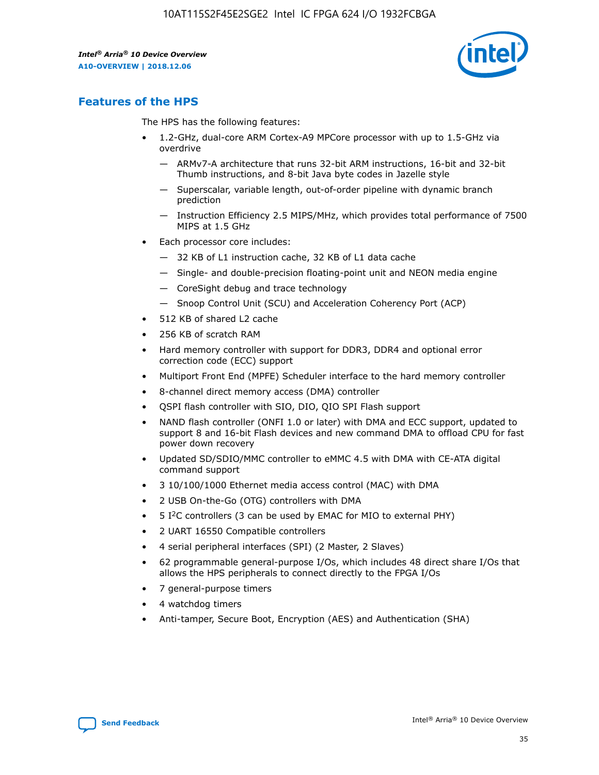

# **Features of the HPS**

The HPS has the following features:

- 1.2-GHz, dual-core ARM Cortex-A9 MPCore processor with up to 1.5-GHz via overdrive
	- ARMv7-A architecture that runs 32-bit ARM instructions, 16-bit and 32-bit Thumb instructions, and 8-bit Java byte codes in Jazelle style
	- Superscalar, variable length, out-of-order pipeline with dynamic branch prediction
	- Instruction Efficiency 2.5 MIPS/MHz, which provides total performance of 7500 MIPS at 1.5 GHz
- Each processor core includes:
	- 32 KB of L1 instruction cache, 32 KB of L1 data cache
	- Single- and double-precision floating-point unit and NEON media engine
	- CoreSight debug and trace technology
	- Snoop Control Unit (SCU) and Acceleration Coherency Port (ACP)
- 512 KB of shared L2 cache
- 256 KB of scratch RAM
- Hard memory controller with support for DDR3, DDR4 and optional error correction code (ECC) support
- Multiport Front End (MPFE) Scheduler interface to the hard memory controller
- 8-channel direct memory access (DMA) controller
- QSPI flash controller with SIO, DIO, QIO SPI Flash support
- NAND flash controller (ONFI 1.0 or later) with DMA and ECC support, updated to support 8 and 16-bit Flash devices and new command DMA to offload CPU for fast power down recovery
- Updated SD/SDIO/MMC controller to eMMC 4.5 with DMA with CE-ATA digital command support
- 3 10/100/1000 Ethernet media access control (MAC) with DMA
- 2 USB On-the-Go (OTG) controllers with DMA
- $\bullet$  5 I<sup>2</sup>C controllers (3 can be used by EMAC for MIO to external PHY)
- 2 UART 16550 Compatible controllers
- 4 serial peripheral interfaces (SPI) (2 Master, 2 Slaves)
- 62 programmable general-purpose I/Os, which includes 48 direct share I/Os that allows the HPS peripherals to connect directly to the FPGA I/Os
- 7 general-purpose timers
- 4 watchdog timers
- Anti-tamper, Secure Boot, Encryption (AES) and Authentication (SHA)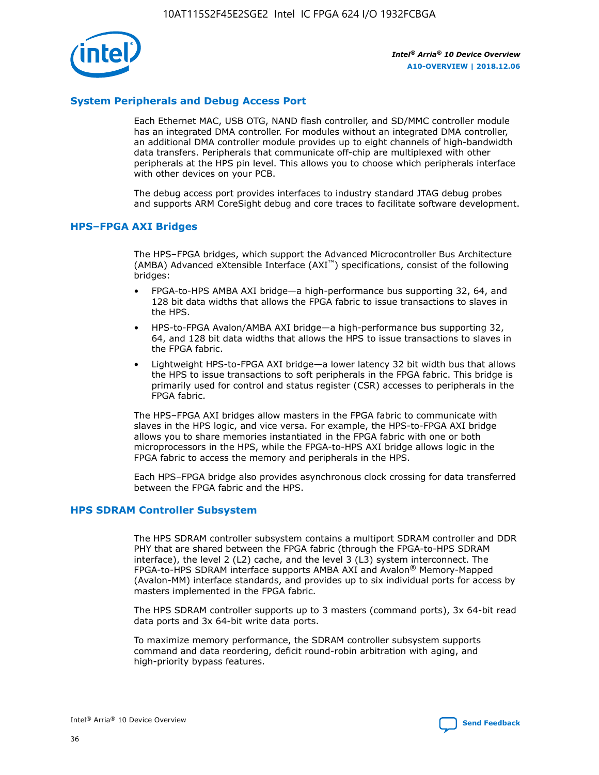

# **System Peripherals and Debug Access Port**

Each Ethernet MAC, USB OTG, NAND flash controller, and SD/MMC controller module has an integrated DMA controller. For modules without an integrated DMA controller, an additional DMA controller module provides up to eight channels of high-bandwidth data transfers. Peripherals that communicate off-chip are multiplexed with other peripherals at the HPS pin level. This allows you to choose which peripherals interface with other devices on your PCB.

The debug access port provides interfaces to industry standard JTAG debug probes and supports ARM CoreSight debug and core traces to facilitate software development.

## **HPS–FPGA AXI Bridges**

The HPS–FPGA bridges, which support the Advanced Microcontroller Bus Architecture (AMBA) Advanced eXtensible Interface (AXI™) specifications, consist of the following bridges:

- FPGA-to-HPS AMBA AXI bridge—a high-performance bus supporting 32, 64, and 128 bit data widths that allows the FPGA fabric to issue transactions to slaves in the HPS.
- HPS-to-FPGA Avalon/AMBA AXI bridge—a high-performance bus supporting 32, 64, and 128 bit data widths that allows the HPS to issue transactions to slaves in the FPGA fabric.
- Lightweight HPS-to-FPGA AXI bridge—a lower latency 32 bit width bus that allows the HPS to issue transactions to soft peripherals in the FPGA fabric. This bridge is primarily used for control and status register (CSR) accesses to peripherals in the FPGA fabric.

The HPS–FPGA AXI bridges allow masters in the FPGA fabric to communicate with slaves in the HPS logic, and vice versa. For example, the HPS-to-FPGA AXI bridge allows you to share memories instantiated in the FPGA fabric with one or both microprocessors in the HPS, while the FPGA-to-HPS AXI bridge allows logic in the FPGA fabric to access the memory and peripherals in the HPS.

Each HPS–FPGA bridge also provides asynchronous clock crossing for data transferred between the FPGA fabric and the HPS.

## **HPS SDRAM Controller Subsystem**

The HPS SDRAM controller subsystem contains a multiport SDRAM controller and DDR PHY that are shared between the FPGA fabric (through the FPGA-to-HPS SDRAM interface), the level 2 (L2) cache, and the level 3 (L3) system interconnect. The FPGA-to-HPS SDRAM interface supports AMBA AXI and Avalon® Memory-Mapped (Avalon-MM) interface standards, and provides up to six individual ports for access by masters implemented in the FPGA fabric.

The HPS SDRAM controller supports up to 3 masters (command ports), 3x 64-bit read data ports and 3x 64-bit write data ports.

To maximize memory performance, the SDRAM controller subsystem supports command and data reordering, deficit round-robin arbitration with aging, and high-priority bypass features.

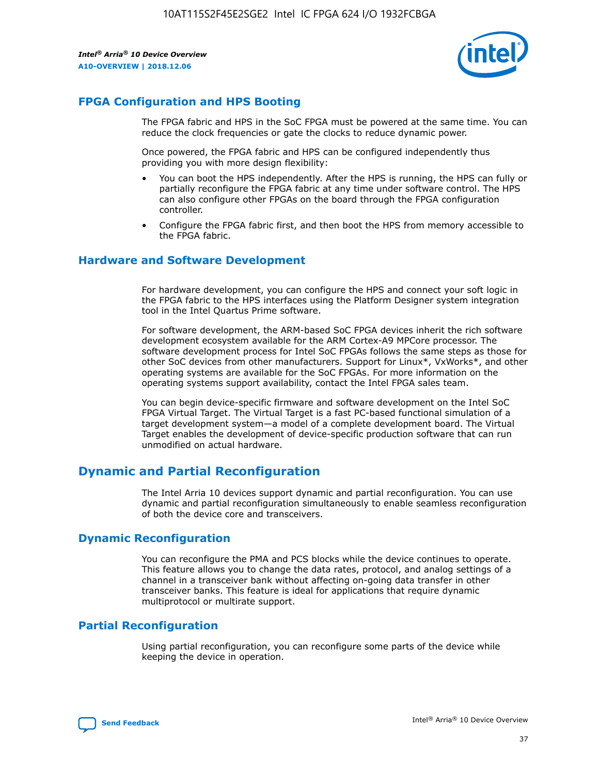

# **FPGA Configuration and HPS Booting**

The FPGA fabric and HPS in the SoC FPGA must be powered at the same time. You can reduce the clock frequencies or gate the clocks to reduce dynamic power.

Once powered, the FPGA fabric and HPS can be configured independently thus providing you with more design flexibility:

- You can boot the HPS independently. After the HPS is running, the HPS can fully or partially reconfigure the FPGA fabric at any time under software control. The HPS can also configure other FPGAs on the board through the FPGA configuration controller.
- Configure the FPGA fabric first, and then boot the HPS from memory accessible to the FPGA fabric.

## **Hardware and Software Development**

For hardware development, you can configure the HPS and connect your soft logic in the FPGA fabric to the HPS interfaces using the Platform Designer system integration tool in the Intel Quartus Prime software.

For software development, the ARM-based SoC FPGA devices inherit the rich software development ecosystem available for the ARM Cortex-A9 MPCore processor. The software development process for Intel SoC FPGAs follows the same steps as those for other SoC devices from other manufacturers. Support for Linux\*, VxWorks\*, and other operating systems are available for the SoC FPGAs. For more information on the operating systems support availability, contact the Intel FPGA sales team.

You can begin device-specific firmware and software development on the Intel SoC FPGA Virtual Target. The Virtual Target is a fast PC-based functional simulation of a target development system—a model of a complete development board. The Virtual Target enables the development of device-specific production software that can run unmodified on actual hardware.

# **Dynamic and Partial Reconfiguration**

The Intel Arria 10 devices support dynamic and partial reconfiguration. You can use dynamic and partial reconfiguration simultaneously to enable seamless reconfiguration of both the device core and transceivers.

# **Dynamic Reconfiguration**

You can reconfigure the PMA and PCS blocks while the device continues to operate. This feature allows you to change the data rates, protocol, and analog settings of a channel in a transceiver bank without affecting on-going data transfer in other transceiver banks. This feature is ideal for applications that require dynamic multiprotocol or multirate support.

# **Partial Reconfiguration**

Using partial reconfiguration, you can reconfigure some parts of the device while keeping the device in operation.

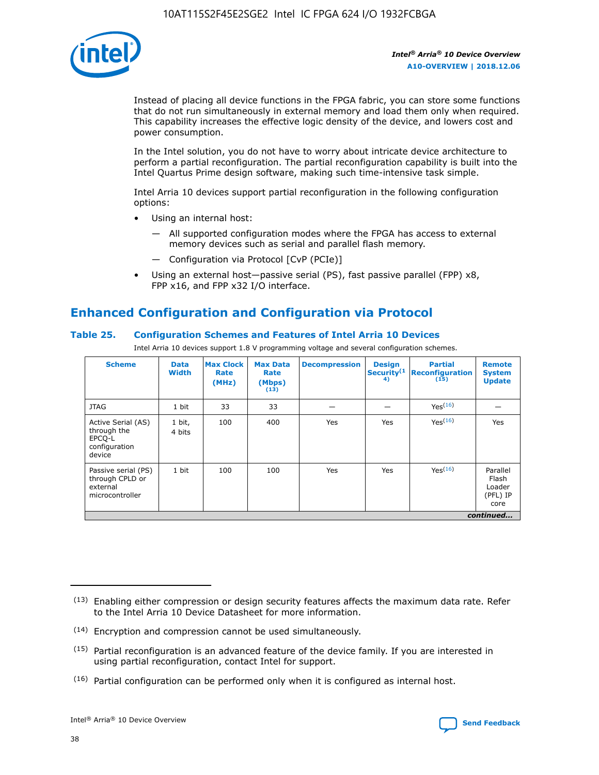

Instead of placing all device functions in the FPGA fabric, you can store some functions that do not run simultaneously in external memory and load them only when required. This capability increases the effective logic density of the device, and lowers cost and power consumption.

In the Intel solution, you do not have to worry about intricate device architecture to perform a partial reconfiguration. The partial reconfiguration capability is built into the Intel Quartus Prime design software, making such time-intensive task simple.

Intel Arria 10 devices support partial reconfiguration in the following configuration options:

- Using an internal host:
	- All supported configuration modes where the FPGA has access to external memory devices such as serial and parallel flash memory.
	- Configuration via Protocol [CvP (PCIe)]
- Using an external host—passive serial (PS), fast passive parallel (FPP) x8, FPP x16, and FPP x32 I/O interface.

# **Enhanced Configuration and Configuration via Protocol**

# **Table 25. Configuration Schemes and Features of Intel Arria 10 Devices**

Intel Arria 10 devices support 1.8 V programming voltage and several configuration schemes.

| <b>Scheme</b>                                                          | <b>Data</b><br><b>Width</b> | <b>Max Clock</b><br>Rate<br>(MHz) | <b>Max Data</b><br>Rate<br>(Mbps)<br>(13) | <b>Decompression</b> | <b>Design</b><br>Security <sup>(1</sup><br>4) | <b>Partial</b><br>Reconfiguration<br>(15) | <b>Remote</b><br><b>System</b><br><b>Update</b> |
|------------------------------------------------------------------------|-----------------------------|-----------------------------------|-------------------------------------------|----------------------|-----------------------------------------------|-------------------------------------------|-------------------------------------------------|
| <b>JTAG</b>                                                            | 1 bit                       | 33                                | 33                                        |                      |                                               | Yes <sup>(16)</sup>                       |                                                 |
| Active Serial (AS)<br>through the<br>EPCO-L<br>configuration<br>device | 1 bit,<br>4 bits            | 100                               | 400                                       | Yes                  | Yes                                           | Yes(16)                                   | Yes                                             |
| Passive serial (PS)<br>through CPLD or<br>external<br>microcontroller  | 1 bit                       | 100                               | 100                                       | Yes                  | Yes                                           | Yes(16)                                   | Parallel<br>Flash<br>Loader<br>(PFL) IP<br>core |
|                                                                        |                             |                                   |                                           |                      |                                               |                                           | continued                                       |

<sup>(13)</sup> Enabling either compression or design security features affects the maximum data rate. Refer to the Intel Arria 10 Device Datasheet for more information.

<sup>(14)</sup> Encryption and compression cannot be used simultaneously.

 $<sup>(15)</sup>$  Partial reconfiguration is an advanced feature of the device family. If you are interested in</sup> using partial reconfiguration, contact Intel for support.

 $(16)$  Partial configuration can be performed only when it is configured as internal host.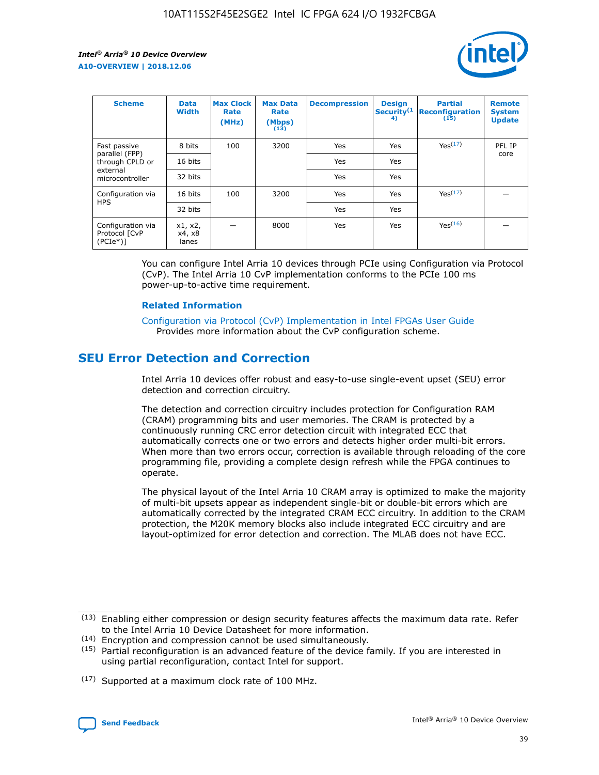

| <b>Scheme</b>                                    | <b>Data</b><br><b>Width</b> | <b>Max Clock</b><br>Rate<br>(MHz) | <b>Max Data</b><br>Rate<br>(Mbps)<br>(13) | <b>Decompression</b> | <b>Design</b><br>Security <sup>(1</sup><br>4) | <b>Partial</b><br><b>Reconfiguration</b><br>(15) | <b>Remote</b><br><b>System</b><br><b>Update</b> |
|--------------------------------------------------|-----------------------------|-----------------------------------|-------------------------------------------|----------------------|-----------------------------------------------|--------------------------------------------------|-------------------------------------------------|
| Fast passive                                     | 8 bits                      | 100                               | 3200                                      | Yes                  | Yes                                           | Yes(17)                                          | PFL IP                                          |
| parallel (FPP)<br>through CPLD or                | 16 bits                     |                                   |                                           | Yes                  | Yes                                           |                                                  | core                                            |
| external<br>microcontroller                      | 32 bits                     |                                   |                                           | Yes                  | Yes                                           |                                                  |                                                 |
| Configuration via                                | 16 bits                     | 100                               | 3200                                      | Yes                  | Yes                                           | Yes <sup>(17)</sup>                              |                                                 |
| <b>HPS</b>                                       | 32 bits                     |                                   |                                           | Yes                  | Yes                                           |                                                  |                                                 |
| Configuration via<br>Protocol [CvP<br>$(PCIe^*)$ | x1, x2,<br>x4, x8<br>lanes  |                                   | 8000                                      | Yes                  | Yes                                           | Yes(16)                                          |                                                 |

You can configure Intel Arria 10 devices through PCIe using Configuration via Protocol (CvP). The Intel Arria 10 CvP implementation conforms to the PCIe 100 ms power-up-to-active time requirement.

## **Related Information**

[Configuration via Protocol \(CvP\) Implementation in Intel FPGAs User Guide](https://www.intel.com/content/www/us/en/programmable/documentation/dsu1441819344145.html#dsu1442269728522) Provides more information about the CvP configuration scheme.

# **SEU Error Detection and Correction**

Intel Arria 10 devices offer robust and easy-to-use single-event upset (SEU) error detection and correction circuitry.

The detection and correction circuitry includes protection for Configuration RAM (CRAM) programming bits and user memories. The CRAM is protected by a continuously running CRC error detection circuit with integrated ECC that automatically corrects one or two errors and detects higher order multi-bit errors. When more than two errors occur, correction is available through reloading of the core programming file, providing a complete design refresh while the FPGA continues to operate.

The physical layout of the Intel Arria 10 CRAM array is optimized to make the majority of multi-bit upsets appear as independent single-bit or double-bit errors which are automatically corrected by the integrated CRAM ECC circuitry. In addition to the CRAM protection, the M20K memory blocks also include integrated ECC circuitry and are layout-optimized for error detection and correction. The MLAB does not have ECC.

(14) Encryption and compression cannot be used simultaneously.

<sup>(17)</sup> Supported at a maximum clock rate of 100 MHz.



 $(13)$  Enabling either compression or design security features affects the maximum data rate. Refer to the Intel Arria 10 Device Datasheet for more information.

 $(15)$  Partial reconfiguration is an advanced feature of the device family. If you are interested in using partial reconfiguration, contact Intel for support.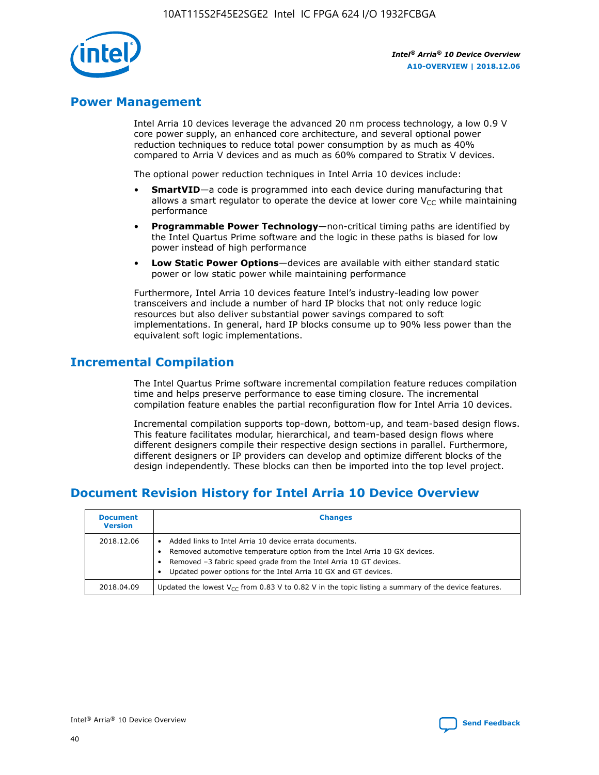

# **Power Management**

Intel Arria 10 devices leverage the advanced 20 nm process technology, a low 0.9 V core power supply, an enhanced core architecture, and several optional power reduction techniques to reduce total power consumption by as much as 40% compared to Arria V devices and as much as 60% compared to Stratix V devices.

The optional power reduction techniques in Intel Arria 10 devices include:

- **SmartVID**—a code is programmed into each device during manufacturing that allows a smart regulator to operate the device at lower core  $V_{CC}$  while maintaining performance
- **Programmable Power Technology**—non-critical timing paths are identified by the Intel Quartus Prime software and the logic in these paths is biased for low power instead of high performance
- **Low Static Power Options**—devices are available with either standard static power or low static power while maintaining performance

Furthermore, Intel Arria 10 devices feature Intel's industry-leading low power transceivers and include a number of hard IP blocks that not only reduce logic resources but also deliver substantial power savings compared to soft implementations. In general, hard IP blocks consume up to 90% less power than the equivalent soft logic implementations.

# **Incremental Compilation**

The Intel Quartus Prime software incremental compilation feature reduces compilation time and helps preserve performance to ease timing closure. The incremental compilation feature enables the partial reconfiguration flow for Intel Arria 10 devices.

Incremental compilation supports top-down, bottom-up, and team-based design flows. This feature facilitates modular, hierarchical, and team-based design flows where different designers compile their respective design sections in parallel. Furthermore, different designers or IP providers can develop and optimize different blocks of the design independently. These blocks can then be imported into the top level project.

# **Document Revision History for Intel Arria 10 Device Overview**

| <b>Document</b><br><b>Version</b> | <b>Changes</b>                                                                                                                                                                                                                                                              |
|-----------------------------------|-----------------------------------------------------------------------------------------------------------------------------------------------------------------------------------------------------------------------------------------------------------------------------|
| 2018.12.06                        | Added links to Intel Arria 10 device errata documents.<br>Removed automotive temperature option from the Intel Arria 10 GX devices.<br>Removed -3 fabric speed grade from the Intel Arria 10 GT devices.<br>Updated power options for the Intel Arria 10 GX and GT devices. |
| 2018.04.09                        | Updated the lowest $V_{CC}$ from 0.83 V to 0.82 V in the topic listing a summary of the device features.                                                                                                                                                                    |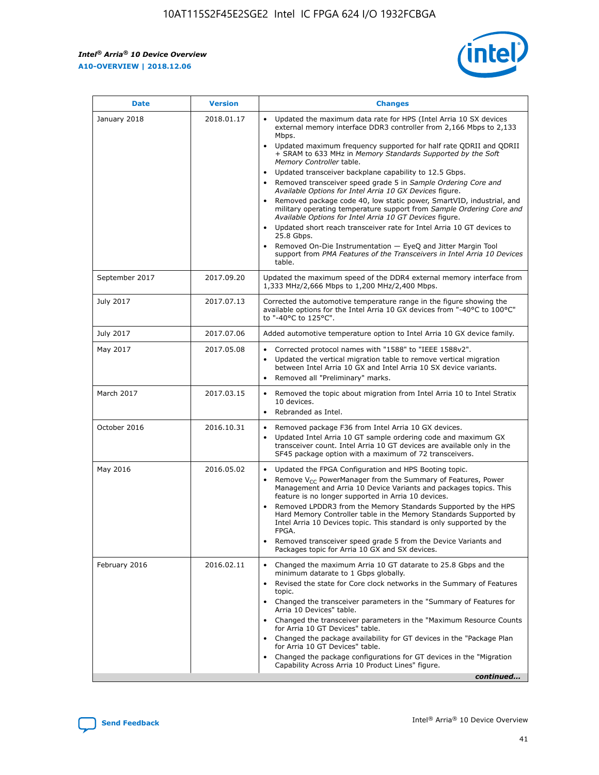$\mathsf{r}$ 



| January 2018<br>Updated the maximum data rate for HPS (Intel Arria 10 SX devices<br>2018.01.17<br>external memory interface DDR3 controller from 2,166 Mbps to 2,133<br>Mbps.<br>$\bullet$<br>+ SRAM to 633 MHz in Memory Standards Supported by the Soft<br>Memory Controller table.<br>Updated transceiver backplane capability to 12.5 Gbps.<br>$\bullet$<br>Removed transceiver speed grade 5 in Sample Ordering Core and<br>Available Options for Intel Arria 10 GX Devices figure.<br>Available Options for Intel Arria 10 GT Devices figure.<br>Updated short reach transceiver rate for Intel Arria 10 GT devices to<br>$\bullet$<br>25.8 Gbps.<br>Removed On-Die Instrumentation - EyeQ and Jitter Margin Tool<br>table.<br>2017.09.20<br>September 2017<br>1,333 MHz/2,666 Mbps to 1,200 MHz/2,400 Mbps.<br>July 2017<br>2017.07.13<br>Corrected the automotive temperature range in the figure showing the<br>available options for the Intel Arria 10 GX devices from "-40°C to 100°C"<br>to "-40°C to 125°C".<br>July 2017<br>2017.07.06<br>Added automotive temperature option to Intel Arria 10 GX device family.<br>2017.05.08<br>Corrected protocol names with "1588" to "IEEE 1588v2".<br>May 2017<br>$\bullet$<br>Updated the vertical migration table to remove vertical migration<br>$\bullet$<br>between Intel Arria 10 GX and Intel Arria 10 SX device variants.<br>Removed all "Preliminary" marks.<br>2017.03.15<br>March 2017<br>Removed the topic about migration from Intel Arria 10 to Intel Stratix<br>10 devices.<br>Rebranded as Intel.<br>$\bullet$<br>October 2016<br>2016.10.31<br>Removed package F36 from Intel Arria 10 GX devices.<br>$\bullet$<br>Updated Intel Arria 10 GT sample ordering code and maximum GX<br>$\bullet$<br>transceiver count. Intel Arria 10 GT devices are available only in the<br>SF45 package option with a maximum of 72 transceivers.<br>May 2016<br>2016.05.02<br>Updated the FPGA Configuration and HPS Booting topic.<br>Remove $V_{CC}$ PowerManager from the Summary of Features, Power<br>Management and Arria 10 Device Variants and packages topics. This<br>feature is no longer supported in Arria 10 devices.<br>Removed LPDDR3 from the Memory Standards Supported by the HPS<br>Hard Memory Controller table in the Memory Standards Supported by<br>Intel Arria 10 Devices topic. This standard is only supported by the<br>FPGA.<br>Removed transceiver speed grade 5 from the Device Variants and<br>Packages topic for Arria 10 GX and SX devices.<br>Changed the maximum Arria 10 GT datarate to 25.8 Gbps and the<br>February 2016<br>2016.02.11<br>minimum datarate to 1 Gbps globally.<br>Revised the state for Core clock networks in the Summary of Features<br>$\bullet$<br>topic.<br>• Changed the transceiver parameters in the "Summary of Features for<br>Arria 10 Devices" table.<br>for Arria 10 GT Devices" table.<br>• Changed the package availability for GT devices in the "Package Plan<br>for Arria 10 GT Devices" table.<br>Changed the package configurations for GT devices in the "Migration"<br>Capability Across Arria 10 Product Lines" figure. | <b>Date</b> | <b>Version</b> | <b>Changes</b>                                                                                                                                                                                                                                                                               |
|----------------------------------------------------------------------------------------------------------------------------------------------------------------------------------------------------------------------------------------------------------------------------------------------------------------------------------------------------------------------------------------------------------------------------------------------------------------------------------------------------------------------------------------------------------------------------------------------------------------------------------------------------------------------------------------------------------------------------------------------------------------------------------------------------------------------------------------------------------------------------------------------------------------------------------------------------------------------------------------------------------------------------------------------------------------------------------------------------------------------------------------------------------------------------------------------------------------------------------------------------------------------------------------------------------------------------------------------------------------------------------------------------------------------------------------------------------------------------------------------------------------------------------------------------------------------------------------------------------------------------------------------------------------------------------------------------------------------------------------------------------------------------------------------------------------------------------------------------------------------------------------------------------------------------------------------------------------------------------------------------------------------------------------------------------------------------------------------------------------------------------------------------------------------------------------------------------------------------------------------------------------------------------------------------------------------------------------------------------------------------------------------------------------------------------------------------------------------------------------------------------------------------------------------------------------------------------------------------------------------------------------------------------------------------------------------------------------------------------------------------------------------------------------------------------------------------------------------------------------------------------------------------------------------------------------------------------------------------------------------------------------------------------------------------------------------------------------------------------------------------------------------------------------|-------------|----------------|----------------------------------------------------------------------------------------------------------------------------------------------------------------------------------------------------------------------------------------------------------------------------------------------|
|                                                                                                                                                                                                                                                                                                                                                                                                                                                                                                                                                                                                                                                                                                                                                                                                                                                                                                                                                                                                                                                                                                                                                                                                                                                                                                                                                                                                                                                                                                                                                                                                                                                                                                                                                                                                                                                                                                                                                                                                                                                                                                                                                                                                                                                                                                                                                                                                                                                                                                                                                                                                                                                                                                                                                                                                                                                                                                                                                                                                                                                                                                                                                                |             |                | Updated maximum frequency supported for half rate QDRII and QDRII<br>Removed package code 40, low static power, SmartVID, industrial, and<br>military operating temperature support from Sample Ordering Core and<br>support from PMA Features of the Transceivers in Intel Arria 10 Devices |
|                                                                                                                                                                                                                                                                                                                                                                                                                                                                                                                                                                                                                                                                                                                                                                                                                                                                                                                                                                                                                                                                                                                                                                                                                                                                                                                                                                                                                                                                                                                                                                                                                                                                                                                                                                                                                                                                                                                                                                                                                                                                                                                                                                                                                                                                                                                                                                                                                                                                                                                                                                                                                                                                                                                                                                                                                                                                                                                                                                                                                                                                                                                                                                |             |                | Updated the maximum speed of the DDR4 external memory interface from                                                                                                                                                                                                                         |
|                                                                                                                                                                                                                                                                                                                                                                                                                                                                                                                                                                                                                                                                                                                                                                                                                                                                                                                                                                                                                                                                                                                                                                                                                                                                                                                                                                                                                                                                                                                                                                                                                                                                                                                                                                                                                                                                                                                                                                                                                                                                                                                                                                                                                                                                                                                                                                                                                                                                                                                                                                                                                                                                                                                                                                                                                                                                                                                                                                                                                                                                                                                                                                |             |                |                                                                                                                                                                                                                                                                                              |
|                                                                                                                                                                                                                                                                                                                                                                                                                                                                                                                                                                                                                                                                                                                                                                                                                                                                                                                                                                                                                                                                                                                                                                                                                                                                                                                                                                                                                                                                                                                                                                                                                                                                                                                                                                                                                                                                                                                                                                                                                                                                                                                                                                                                                                                                                                                                                                                                                                                                                                                                                                                                                                                                                                                                                                                                                                                                                                                                                                                                                                                                                                                                                                |             |                |                                                                                                                                                                                                                                                                                              |
|                                                                                                                                                                                                                                                                                                                                                                                                                                                                                                                                                                                                                                                                                                                                                                                                                                                                                                                                                                                                                                                                                                                                                                                                                                                                                                                                                                                                                                                                                                                                                                                                                                                                                                                                                                                                                                                                                                                                                                                                                                                                                                                                                                                                                                                                                                                                                                                                                                                                                                                                                                                                                                                                                                                                                                                                                                                                                                                                                                                                                                                                                                                                                                |             |                |                                                                                                                                                                                                                                                                                              |
|                                                                                                                                                                                                                                                                                                                                                                                                                                                                                                                                                                                                                                                                                                                                                                                                                                                                                                                                                                                                                                                                                                                                                                                                                                                                                                                                                                                                                                                                                                                                                                                                                                                                                                                                                                                                                                                                                                                                                                                                                                                                                                                                                                                                                                                                                                                                                                                                                                                                                                                                                                                                                                                                                                                                                                                                                                                                                                                                                                                                                                                                                                                                                                |             |                |                                                                                                                                                                                                                                                                                              |
|                                                                                                                                                                                                                                                                                                                                                                                                                                                                                                                                                                                                                                                                                                                                                                                                                                                                                                                                                                                                                                                                                                                                                                                                                                                                                                                                                                                                                                                                                                                                                                                                                                                                                                                                                                                                                                                                                                                                                                                                                                                                                                                                                                                                                                                                                                                                                                                                                                                                                                                                                                                                                                                                                                                                                                                                                                                                                                                                                                                                                                                                                                                                                                |             |                |                                                                                                                                                                                                                                                                                              |
|                                                                                                                                                                                                                                                                                                                                                                                                                                                                                                                                                                                                                                                                                                                                                                                                                                                                                                                                                                                                                                                                                                                                                                                                                                                                                                                                                                                                                                                                                                                                                                                                                                                                                                                                                                                                                                                                                                                                                                                                                                                                                                                                                                                                                                                                                                                                                                                                                                                                                                                                                                                                                                                                                                                                                                                                                                                                                                                                                                                                                                                                                                                                                                |             |                |                                                                                                                                                                                                                                                                                              |
|                                                                                                                                                                                                                                                                                                                                                                                                                                                                                                                                                                                                                                                                                                                                                                                                                                                                                                                                                                                                                                                                                                                                                                                                                                                                                                                                                                                                                                                                                                                                                                                                                                                                                                                                                                                                                                                                                                                                                                                                                                                                                                                                                                                                                                                                                                                                                                                                                                                                                                                                                                                                                                                                                                                                                                                                                                                                                                                                                                                                                                                                                                                                                                |             |                | Changed the transceiver parameters in the "Maximum Resource Counts"<br>continued                                                                                                                                                                                                             |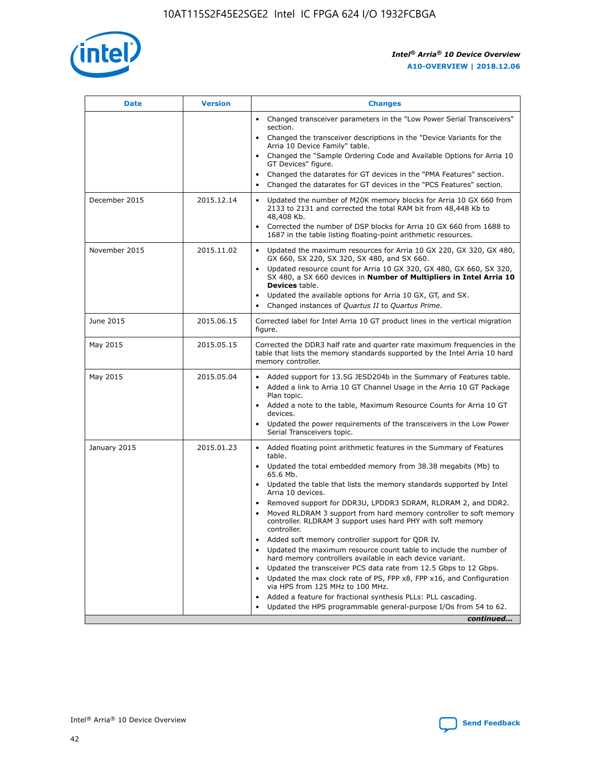

| <b>Date</b>   | <b>Version</b> | <b>Changes</b>                                                                                                                                                               |
|---------------|----------------|------------------------------------------------------------------------------------------------------------------------------------------------------------------------------|
|               |                | • Changed transceiver parameters in the "Low Power Serial Transceivers"<br>section.                                                                                          |
|               |                | • Changed the transceiver descriptions in the "Device Variants for the<br>Arria 10 Device Family" table.                                                                     |
|               |                | Changed the "Sample Ordering Code and Available Options for Arria 10<br>$\bullet$<br>GT Devices" figure.                                                                     |
|               |                | Changed the datarates for GT devices in the "PMA Features" section.                                                                                                          |
|               |                | Changed the datarates for GT devices in the "PCS Features" section.<br>$\bullet$                                                                                             |
| December 2015 | 2015.12.14     | Updated the number of M20K memory blocks for Arria 10 GX 660 from<br>2133 to 2131 and corrected the total RAM bit from 48,448 Kb to<br>48,408 Kb.                            |
|               |                | Corrected the number of DSP blocks for Arria 10 GX 660 from 1688 to<br>1687 in the table listing floating-point arithmetic resources.                                        |
| November 2015 | 2015.11.02     | Updated the maximum resources for Arria 10 GX 220, GX 320, GX 480,<br>$\bullet$<br>GX 660, SX 220, SX 320, SX 480, and SX 660.                                               |
|               |                | • Updated resource count for Arria 10 GX 320, GX 480, GX 660, SX 320,<br>SX 480, a SX 660 devices in Number of Multipliers in Intel Arria 10<br><b>Devices</b> table.        |
|               |                | Updated the available options for Arria 10 GX, GT, and SX.                                                                                                                   |
|               |                | Changed instances of Quartus II to Quartus Prime.<br>$\bullet$                                                                                                               |
| June 2015     | 2015.06.15     | Corrected label for Intel Arria 10 GT product lines in the vertical migration<br>figure.                                                                                     |
| May 2015      | 2015.05.15     | Corrected the DDR3 half rate and quarter rate maximum frequencies in the<br>table that lists the memory standards supported by the Intel Arria 10 hard<br>memory controller. |
| May 2015      | 2015.05.04     | • Added support for 13.5G JESD204b in the Summary of Features table.                                                                                                         |
|               |                | • Added a link to Arria 10 GT Channel Usage in the Arria 10 GT Package<br>Plan topic.                                                                                        |
|               |                | • Added a note to the table, Maximum Resource Counts for Arria 10 GT<br>devices.                                                                                             |
|               |                | • Updated the power requirements of the transceivers in the Low Power<br>Serial Transceivers topic.                                                                          |
| January 2015  | 2015.01.23     | • Added floating point arithmetic features in the Summary of Features<br>table.                                                                                              |
|               |                | • Updated the total embedded memory from 38.38 megabits (Mb) to<br>65.6 Mb.                                                                                                  |
|               |                | • Updated the table that lists the memory standards supported by Intel<br>Arria 10 devices.                                                                                  |
|               |                | Removed support for DDR3U, LPDDR3 SDRAM, RLDRAM 2, and DDR2.                                                                                                                 |
|               |                | Moved RLDRAM 3 support from hard memory controller to soft memory<br>controller. RLDRAM 3 support uses hard PHY with soft memory<br>controller.                              |
|               |                | Added soft memory controller support for QDR IV.<br>٠                                                                                                                        |
|               |                | Updated the maximum resource count table to include the number of<br>hard memory controllers available in each device variant.                                               |
|               |                | Updated the transceiver PCS data rate from 12.5 Gbps to 12 Gbps.<br>$\bullet$                                                                                                |
|               |                | Updated the max clock rate of PS, FPP x8, FPP x16, and Configuration<br>via HPS from 125 MHz to 100 MHz.                                                                     |
|               |                | Added a feature for fractional synthesis PLLs: PLL cascading.                                                                                                                |
|               |                | Updated the HPS programmable general-purpose I/Os from 54 to 62.<br>$\bullet$                                                                                                |
|               |                | continued                                                                                                                                                                    |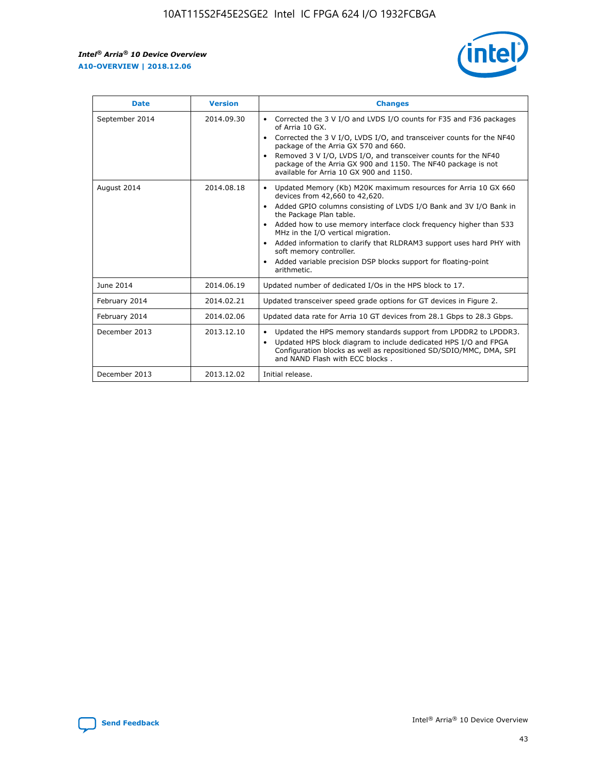r



| <b>Date</b>    | <b>Version</b> | <b>Changes</b>                                                                                                                                                                                                                                                                                                                                                                                                                                                                                                                                      |
|----------------|----------------|-----------------------------------------------------------------------------------------------------------------------------------------------------------------------------------------------------------------------------------------------------------------------------------------------------------------------------------------------------------------------------------------------------------------------------------------------------------------------------------------------------------------------------------------------------|
| September 2014 | 2014.09.30     | Corrected the 3 V I/O and LVDS I/O counts for F35 and F36 packages<br>$\bullet$<br>of Arria 10 GX.<br>Corrected the 3 V I/O, LVDS I/O, and transceiver counts for the NF40<br>$\bullet$<br>package of the Arria GX 570 and 660.<br>Removed 3 V I/O, LVDS I/O, and transceiver counts for the NF40<br>package of the Arria GX 900 and 1150. The NF40 package is not<br>available for Arria 10 GX 900 and 1150.                                                                                                                                       |
| August 2014    | 2014.08.18     | Updated Memory (Kb) M20K maximum resources for Arria 10 GX 660<br>devices from 42,660 to 42,620.<br>Added GPIO columns consisting of LVDS I/O Bank and 3V I/O Bank in<br>$\bullet$<br>the Package Plan table.<br>Added how to use memory interface clock frequency higher than 533<br>$\bullet$<br>MHz in the I/O vertical migration.<br>Added information to clarify that RLDRAM3 support uses hard PHY with<br>$\bullet$<br>soft memory controller.<br>Added variable precision DSP blocks support for floating-point<br>$\bullet$<br>arithmetic. |
| June 2014      | 2014.06.19     | Updated number of dedicated I/Os in the HPS block to 17.                                                                                                                                                                                                                                                                                                                                                                                                                                                                                            |
| February 2014  | 2014.02.21     | Updated transceiver speed grade options for GT devices in Figure 2.                                                                                                                                                                                                                                                                                                                                                                                                                                                                                 |
| February 2014  | 2014.02.06     | Updated data rate for Arria 10 GT devices from 28.1 Gbps to 28.3 Gbps.                                                                                                                                                                                                                                                                                                                                                                                                                                                                              |
| December 2013  | 2013.12.10     | Updated the HPS memory standards support from LPDDR2 to LPDDR3.<br>Updated HPS block diagram to include dedicated HPS I/O and FPGA<br>$\bullet$<br>Configuration blocks as well as repositioned SD/SDIO/MMC, DMA, SPI<br>and NAND Flash with ECC blocks.                                                                                                                                                                                                                                                                                            |
| December 2013  | 2013.12.02     | Initial release.                                                                                                                                                                                                                                                                                                                                                                                                                                                                                                                                    |